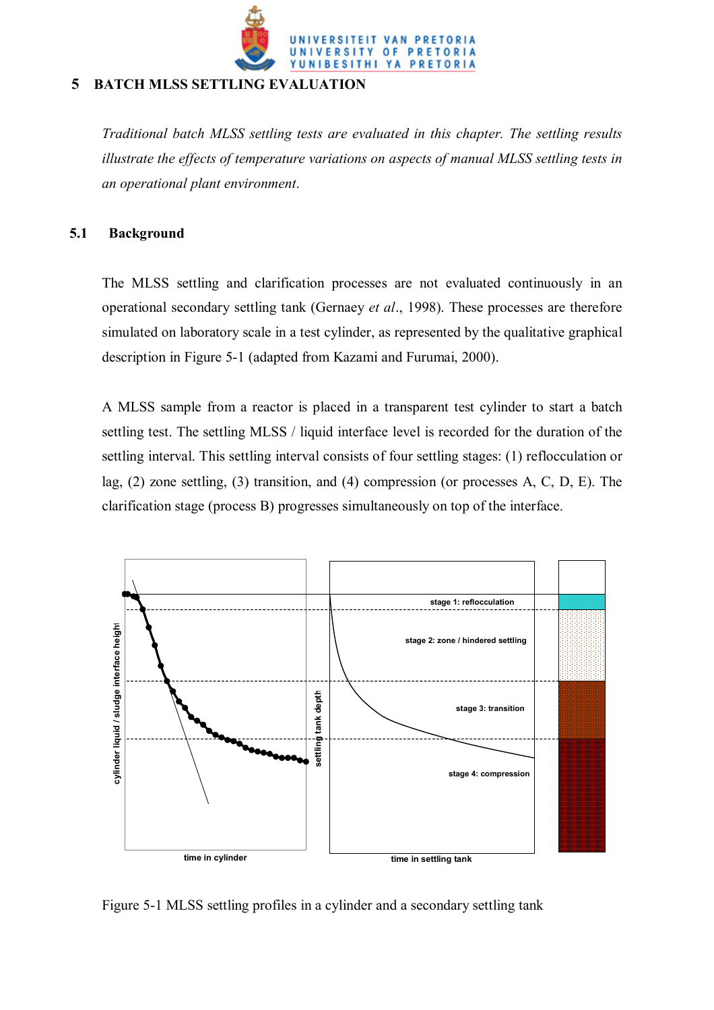

# **5 BATCH MLSS SETTLING EVALUATION**

*Traditional batch MLSS settling tests are evaluated in this chapter. The settling results illustrate the effects of temperature variations on aspects of manual MLSS settling tests in an operational plant environment*.

# **5.1 Background**

The MLSS settling and clarification processes are not evaluated continuously in an operational secondary settling tank (Gernaey *et al*., 1998). These processes are therefore simulated on laboratory scale in a test cylinder, as represented by the qualitative graphical description in Figure 5-1 (adapted from Kazami and Furumai, 2000).

A MLSS sample from a reactor is placed in a transparent test cylinder to start a batch settling test. The settling MLSS / liquid interface level is recorded for the duration of the settling interval. This settling interval consists of four settling stages: (1) reflocculation or lag, (2) zone settling, (3) transition, and (4) compression (or processes A, C, D, E). The clarification stage (process B) progresses simultaneously on top of the interface.



Figure 5-1 MLSS settling profiles in a cylinder and a secondary settling tank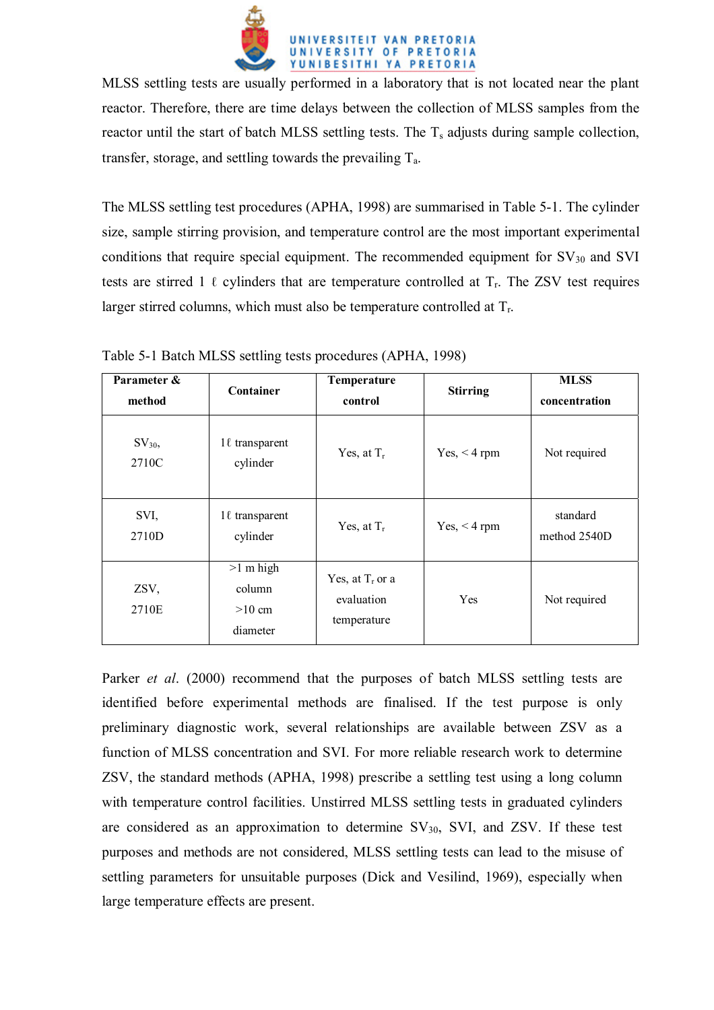

MLSS settling tests are usually performed in a laboratory that is not located near the plant reactor. Therefore, there are time delays between the collection of MLSS samples from the reactor until the start of batch MLSS settling tests. The  $T_s$  adjusts during sample collection, transfer, storage, and settling towards the prevailing  $T_a$ .

The MLSS settling test procedures (APHA, 1998) are summarised in Table 5-1. The cylinder size, sample stirring provision, and temperature control are the most important experimental conditions that require special equipment. The recommended equipment for  $SV_{30}$  and SVI tests are stirred 1  $\ell$  cylinders that are temperature controlled at  $T_r$ . The ZSV test requires larger stirred columns, which must also be temperature controlled at  $T_r$ .

| Parameter &<br>method | Container                                     | Temperature<br>control                          | <b>Stirring</b> | <b>MLSS</b><br>concentration |
|-----------------------|-----------------------------------------------|-------------------------------------------------|-----------------|------------------------------|
| $SV_{30}$<br>2710C    | $1\ell$ transparent<br>cylinder               | Yes, at $T_r$                                   | $Yes, < 4$ rpm  | Not required                 |
| SVI,<br>2710D         | $1\ell$ transparent<br>cylinder               | Yes, at $T_r$                                   | $Yes, < 4$ rpm  | standard<br>method 2540D     |
| ZSV,<br>2710E         | $>1$ m high<br>column<br>$>10$ cm<br>diameter | Yes, at $T_r$ or a<br>evaluation<br>temperature | Yes             | Not required                 |

Table 5-1 Batch MLSS settling tests procedures (APHA, 1998)

Parker *et al*. (2000) recommend that the purposes of batch MLSS settling tests are identified before experimental methods are finalised. If the test purpose is only preliminary diagnostic work, several relationships are available between ZSV as a function of MLSS concentration and SVI. For more reliable research work to determine ZSV, the standard methods (APHA, 1998) prescribe a settling test using a long column with temperature control facilities. Unstirred MLSS settling tests in graduated cylinders are considered as an approximation to determine  $SV_{30}$ , SVI, and ZSV. If these test purposes and methods are not considered, MLSS settling tests can lead to the misuse of settling parameters for unsuitable purposes (Dick and Vesilind, 1969), especially when large temperature effects are present.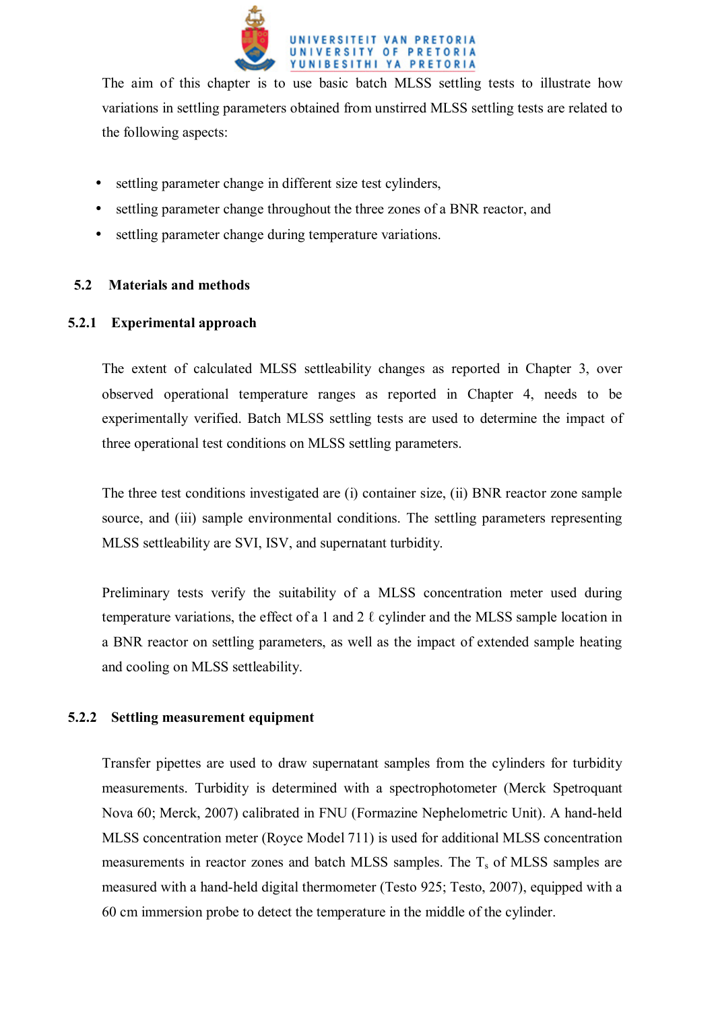

The aim of this chapter is to use basic batch MLSS settling tests to illustrate how variations in settling parameters obtained from unstirred MLSS settling tests are related to the following aspects:

- settling parameter change in different size test cylinders,
- settling parameter change throughout the three zones of a BNR reactor, and
- settling parameter change during temperature variations.

# **5.2 Materials and methods**

## **5.2.1 Experimental approach**

The extent of calculated MLSS settleability changes as reported in Chapter 3, over observed operational temperature ranges as reported in Chapter 4, needs to be experimentally verified. Batch MLSS settling tests are used to determine the impact of three operational test conditions on MLSS settling parameters.

The three test conditions investigated are (i) container size, (ii) BNR reactor zone sample source, and (iii) sample environmental conditions. The settling parameters representing MLSS settleability are SVI, ISV, and supernatant turbidity.

Preliminary tests verify the suitability of a MLSS concentration meter used during temperature variations, the effect of a 1 and 2  $\ell$  cylinder and the MLSS sample location in a BNR reactor on settling parameters, as well as the impact of extended sample heating and cooling on MLSS settleability.

### **5.2.2 Settling measurement equipment**

Transfer pipettes are used to draw supernatant samples from the cylinders for turbidity measurements. Turbidity is determined with a spectrophotometer (Merck Spetroquant Nova 60; Merck, 2007) calibrated in FNU (Formazine Nephelometric Unit). A hand-held MLSS concentration meter (Royce Model 711) is used for additional MLSS concentration measurements in reactor zones and batch MLSS samples. The  $T_s$  of MLSS samples are measured with a hand-held digital thermometer (Testo 925; Testo, 2007), equipped with a 60 cm immersion probe to detect the temperature in the middle of the cylinder.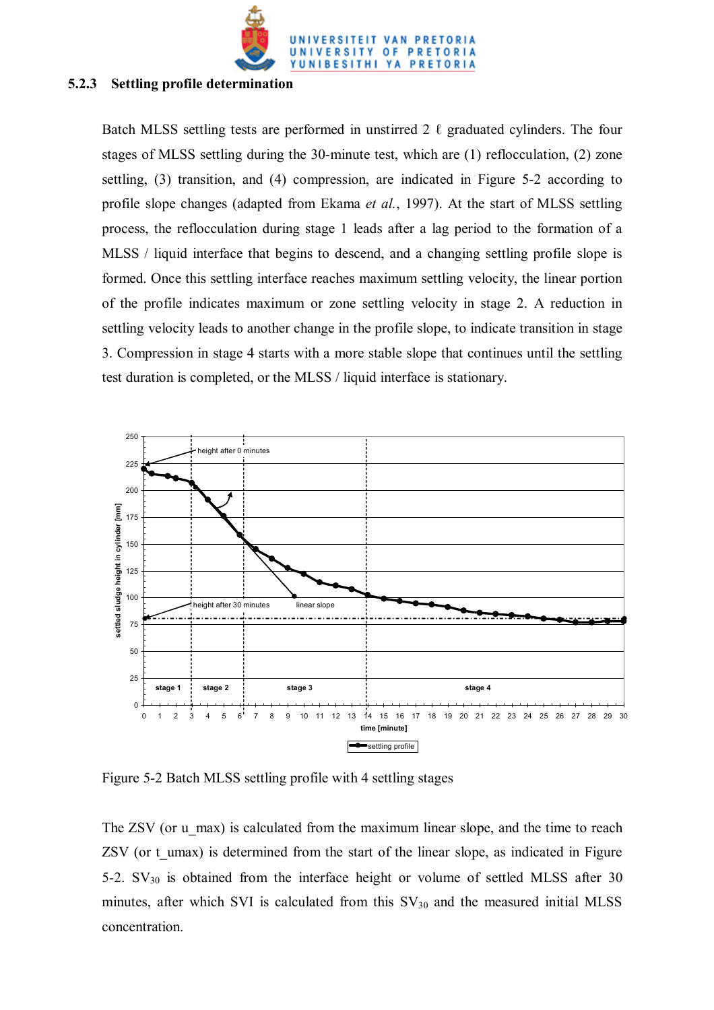

#### **5.2.3 Settling profile determination**

Batch MLSS settling tests are performed in unstirred 2  $\ell$  graduated cylinders. The four stages of MLSS settling during the 30-minute test, which are (1) reflocculation, (2) zone settling, (3) transition, and (4) compression, are indicated in Figure 5-2 according to profile slope changes (adapted from Ekama *et al.*, 1997). At the start of MLSS settling process, the reflocculation during stage 1 leads after a lag period to the formation of a MLSS / liquid interface that begins to descend, and a changing settling profile slope is formed. Once this settling interface reaches maximum settling velocity, the linear portion of the profile indicates maximum or zone settling velocity in stage 2. A reduction in settling velocity leads to another change in the profile slope, to indicate transition in stage 3. Compression in stage 4 starts with a more stable slope that continues until the settling test duration is completed, or the MLSS / liquid interface is stationary.



Figure 5-2 Batch MLSS settling profile with 4 settling stages

The ZSV (or u\_max) is calculated from the maximum linear slope, and the time to reach ZSV (or t\_umax) is determined from the start of the linear slope, as indicated in Figure 5-2.  $SV_{30}$  is obtained from the interface height or volume of settled MLSS after 30 minutes, after which SVI is calculated from this  $SV_{30}$  and the measured initial MLSS concentration.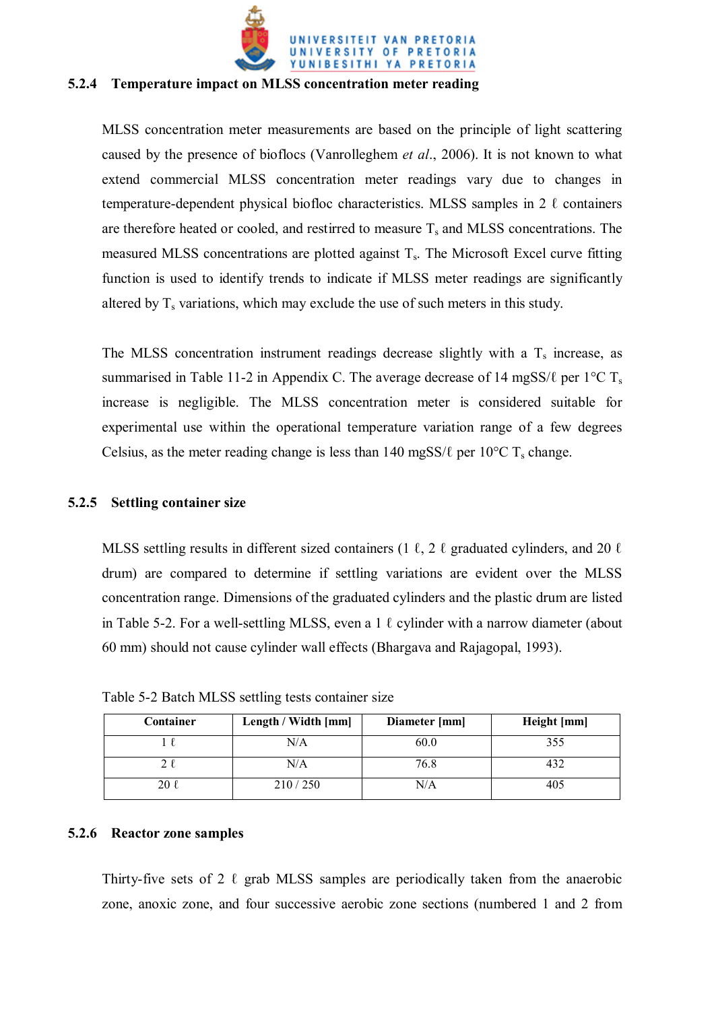

#### **5.2.4 Temperature impact on MLSS concentration meter reading**

MLSS concentration meter measurements are based on the principle of light scattering caused by the presence of bioflocs (Vanrolleghem *et al*., 2006). It is not known to what extend commercial MLSS concentration meter readings vary due to changes in temperature-dependent physical biofloc characteristics. MLSS samples in 2  $\ell$  containers are therefore heated or cooled, and restirred to measure  $T_s$  and MLSS concentrations. The measured MLSS concentrations are plotted against  $T_s$ . The Microsoft Excel curve fitting function is used to identify trends to indicate if MLSS meter readings are significantly altered by  $T_s$  variations, which may exclude the use of such meters in this study.

The MLSS concentration instrument readings decrease slightly with a  $T_s$  increase, as summarised in Table 11-2 in Appendix C. The average decrease of 14 mgSS/ $\ell$  per 1°C T<sub>s</sub> increase is negligible. The MLSS concentration meter is considered suitable for experimental use within the operational temperature variation range of a few degrees Celsius, as the meter reading change is less than 140 mgSS/ $\ell$  per 10<sup>o</sup>C T<sub>s</sub> change.

#### **5.2.5 Settling container size**

MLSS settling results in different sized containers (1  $\ell$ , 2  $\ell$  graduated cylinders, and 20  $\ell$ drum) are compared to determine if settling variations are evident over the MLSS concentration range. Dimensions of the graduated cylinders and the plastic drum are listed in Table 5-2. For a well-settling MLSS, even a 1  $\ell$  cylinder with a narrow diameter (about 60 mm) should not cause cylinder wall effects (Bhargava and Rajagopal, 1993).

| Container | Length / Width [mm] | Diameter [mm] | Height [mm] |
|-----------|---------------------|---------------|-------------|
|           | N/A                 | 60.0          | 355         |
|           | N/A                 | 76.8          |             |
|           | 210/250             | N/A           |             |

Table 5-2 Batch MLSS settling tests container size

#### **5.2.6 Reactor zone samples**

Thirty-five sets of 2  $\ell$  grab MLSS samples are periodically taken from the anaerobic zone, anoxic zone, and four successive aerobic zone sections (numbered 1 and 2 from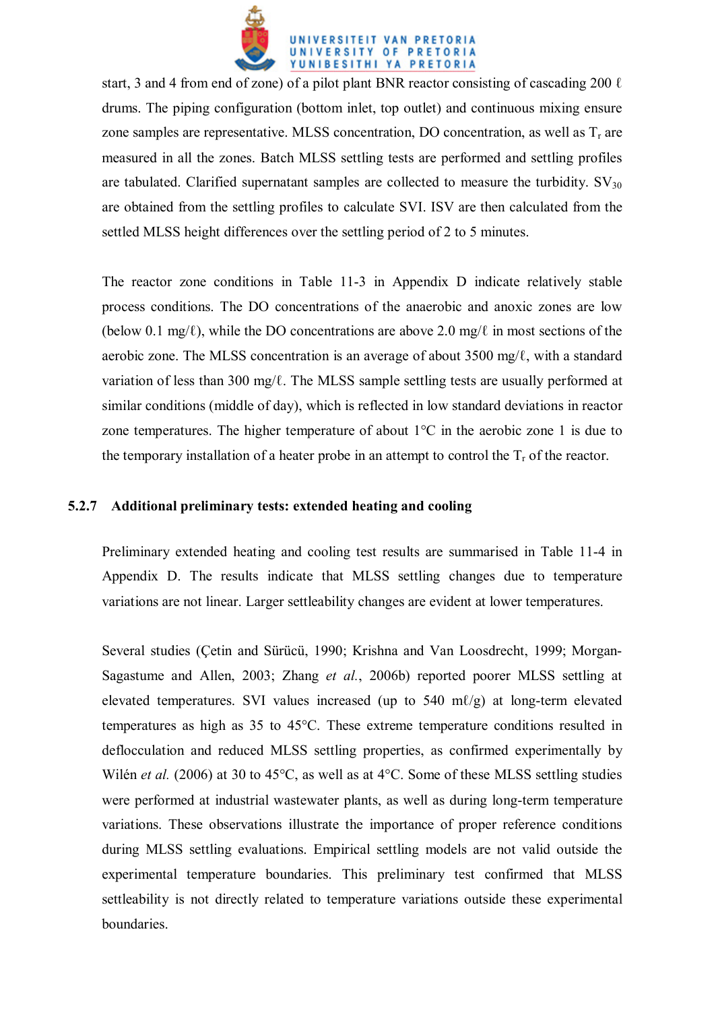

start, 3 and 4 from end of zone) of a pilot plant BNR reactor consisting of cascading 200  $\ell$ drums. The piping configuration (bottom inlet, top outlet) and continuous mixing ensure zone samples are representative. MLSS concentration, DO concentration, as well as  $T_r$  are measured in all the zones. Batch MLSS settling tests are performed and settling profiles are tabulated. Clarified supernatant samples are collected to measure the turbidity.  $SV_{30}$ are obtained from the settling profiles to calculate SVI. ISV are then calculated from the settled MLSS height differences over the settling period of 2 to 5 minutes.

The reactor zone conditions in Table 11-3 in Appendix D indicate relatively stable process conditions. The DO concentrations of the anaerobic and anoxic zones are low (below 0.1 mg/ℓ), while the DO concentrations are above 2.0 mg/ℓ in most sections of the aerobic zone. The MLSS concentration is an average of about 3500 mg/ℓ, with a standard variation of less than 300 mg/ℓ. The MLSS sample settling tests are usually performed at similar conditions (middle of day), which is reflected in low standard deviations in reactor zone temperatures. The higher temperature of about  $1^{\circ}$ C in the aerobic zone 1 is due to the temporary installation of a heater probe in an attempt to control the  $T_r$  of the reactor.

## **5.2.7 Additional preliminary tests: extended heating and cooling**

Preliminary extended heating and cooling test results are summarised in Table 11-4 in Appendix D. The results indicate that MLSS settling changes due to temperature variations are not linear. Larger settleability changes are evident at lower temperatures.

Several studies (Çetin and Sürücü, 1990; Krishna and Van Loosdrecht, 1999; Morgan-Sagastume and Allen, 2003; Zhang *et al.*, 2006b) reported poorer MLSS settling at elevated temperatures. SVI values increased (up to 540 m $\ell$ /g) at long-term elevated temperatures as high as 35 to 45°C. These extreme temperature conditions resulted in deflocculation and reduced MLSS settling properties, as confirmed experimentally by Wilén *et al.* (2006) at 30 to 45°C, as well as at 4°C. Some of these MLSS settling studies were performed at industrial wastewater plants, as well as during long-term temperature variations. These observations illustrate the importance of proper reference conditions during MLSS settling evaluations. Empirical settling models are not valid outside the experimental temperature boundaries. This preliminary test confirmed that MLSS settleability is not directly related to temperature variations outside these experimental boundaries.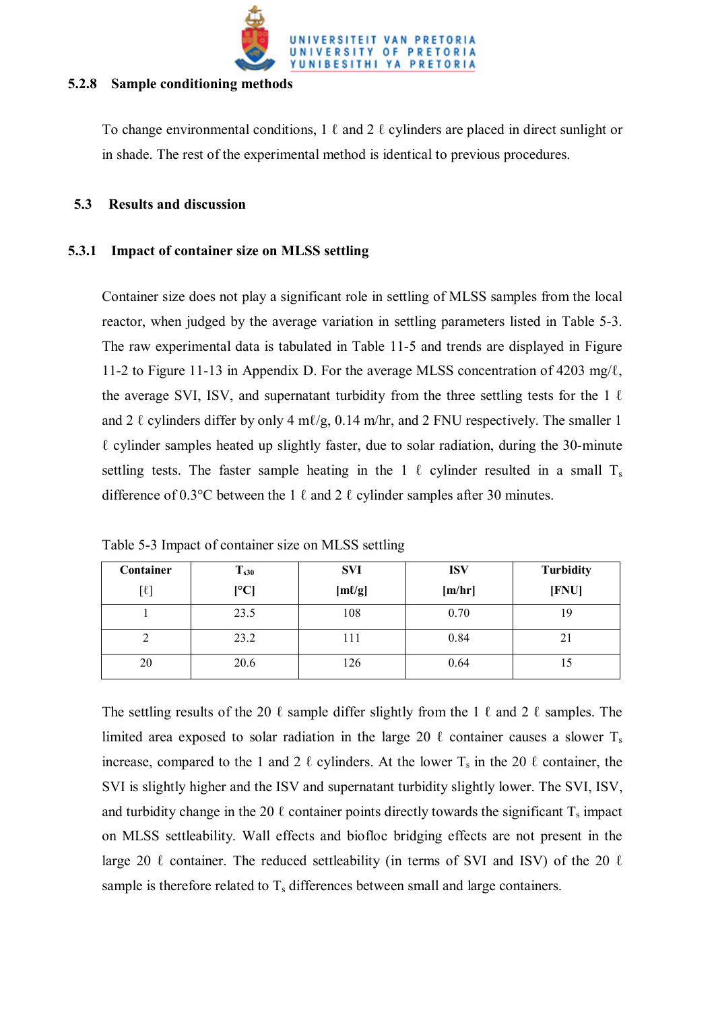

#### **5.2.8 Sample conditioning methods**

To change environmental conditions,  $1 \ell$  and  $2 \ell$  cylinders are placed in direct sunlight or in shade. The rest of the experimental method is identical to previous procedures.

## **5.3 Results and discussion**

# **5.3.1 Impact of container size on MLSS settling**

Container size does not play a significant role in settling of MLSS samples from the local reactor, when judged by the average variation in settling parameters listed in Table 5-3. The raw experimental data is tabulated in Table 11-5 and trends are displayed in Figure 11-2 to Figure 11-13 in Appendix D. For the average MLSS concentration of 4203 mg/ℓ, the average SVI, ISV, and supernatant turbidity from the three settling tests for the 1  $\ell$ and 2  $\ell$  cylinders differ by only 4 m $\ell$ /g, 0.14 m/hr, and 2 FNU respectively. The smaller 1 ℓ cylinder samples heated up slightly faster, due to solar radiation, during the 30-minute settling tests. The faster sample heating in the 1  $\ell$  cylinder resulted in a small T<sub>s</sub> difference of 0.3°C between the 1  $\ell$  and 2  $\ell$  cylinder samples after 30 minutes.

| Container | $T_{s30}$    | <b>SVI</b>  | <b>ISV</b> | <b>Turbidity</b> |
|-----------|--------------|-------------|------------|------------------|
| $[\ell]$  | $\mathsf{C}$ | $[m\ell/g]$ | [m/hr]     | [FNU]            |
|           | 23.5         | 108         | 0.70       | 19               |
| ∠         | 23.2         | 111         | 0.84       | $\angle 1$       |
| 20        | 20.6         | 126         | 0.64       |                  |

Table 5-3 Impact of container size on MLSS settling

The settling results of the 20  $\ell$  sample differ slightly from the 1  $\ell$  and 2  $\ell$  samples. The limited area exposed to solar radiation in the large 20  $\ell$  container causes a slower T<sub>s</sub> increase, compared to the 1 and 2  $\ell$  cylinders. At the lower  $T_s$  in the 20  $\ell$  container, the SVI is slightly higher and the ISV and supernatant turbidity slightly lower. The SVI, ISV, and turbidity change in the 20  $\ell$  container points directly towards the significant  $T_s$  impact on MLSS settleability. Wall effects and biofloc bridging effects are not present in the large 20  $\ell$  container. The reduced settleability (in terms of SVI and ISV) of the 20  $\ell$ sample is therefore related to  $T_s$  differences between small and large containers.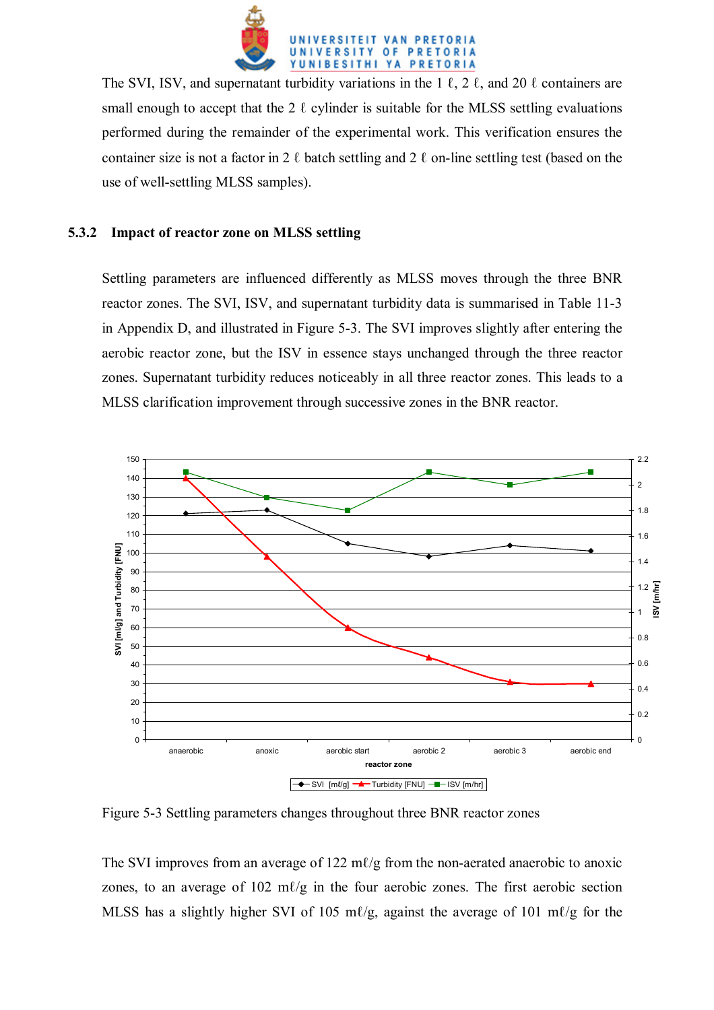

The SVI, ISV, and supernatant turbidity variations in the 1  $\ell$ , 2  $\ell$ , and 20  $\ell$  containers are small enough to accept that the 2  $\ell$  cylinder is suitable for the MLSS settling evaluations performed during the remainder of the experimental work. This verification ensures the container size is not a factor in 2  $\ell$  batch settling and 2  $\ell$  on-line settling test (based on the use of well-settling MLSS samples).

## **5.3.2 Impact of reactor zone on MLSS settling**

Settling parameters are influenced differently as MLSS moves through the three BNR reactor zones. The SVI, ISV, and supernatant turbidity data is summarised in Table 11-3 in Appendix D, and illustrated in Figure 5-3. The SVI improves slightly after entering the aerobic reactor zone, but the ISV in essence stays unchanged through the three reactor zones. Supernatant turbidity reduces noticeably in all three reactor zones. This leads to a MLSS clarification improvement through successive zones in the BNR reactor.



Figure 5-3 Settling parameters changes throughout three BNR reactor zones

The SVI improves from an average of 122 m $\ell$ /g from the non-aerated anaerobic to anoxic zones, to an average of  $102 \text{ m}$  $l/g$  in the four aerobic zones. The first aerobic section MLSS has a slightly higher SVI of 105 m $\ell$ /g, against the average of 101 m $\ell$ /g for the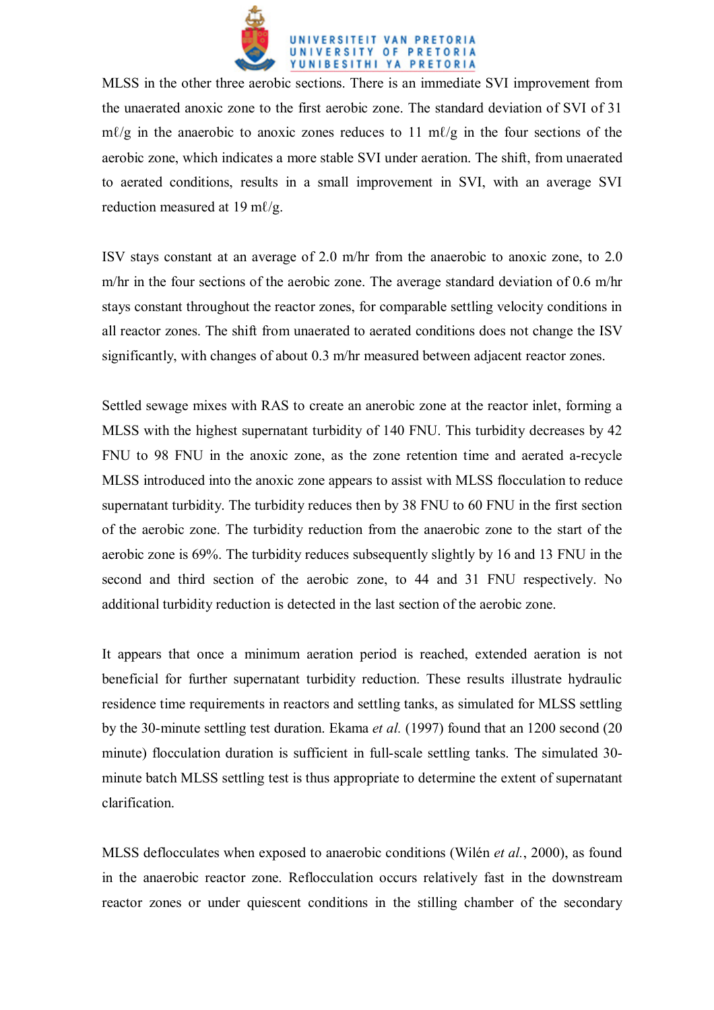

MLSS in the other three aerobic sections. There is an immediate SVI improvement from the unaerated anoxic zone to the first aerobic zone. The standard deviation of SVI of 31  $m\ell/g$  in the anaerobic to anoxic zones reduces to 11 m $\ell/g$  in the four sections of the aerobic zone, which indicates a more stable SVI under aeration. The shift, from unaerated to aerated conditions, results in a small improvement in SVI, with an average SVI reduction measured at 19 ml/g.

ISV stays constant at an average of 2.0 m/hr from the anaerobic to anoxic zone, to 2.0 m/hr in the four sections of the aerobic zone. The average standard deviation of 0.6 m/hr stays constant throughout the reactor zones, for comparable settling velocity conditions in all reactor zones. The shift from unaerated to aerated conditions does not change the ISV significantly, with changes of about 0.3 m/hr measured between adjacent reactor zones.

Settled sewage mixes with RAS to create an anerobic zone at the reactor inlet, forming a MLSS with the highest supernatant turbidity of 140 FNU. This turbidity decreases by 42 FNU to 98 FNU in the anoxic zone, as the zone retention time and aerated a-recycle MLSS introduced into the anoxic zone appears to assist with MLSS flocculation to reduce supernatant turbidity. The turbidity reduces then by 38 FNU to 60 FNU in the first section of the aerobic zone. The turbidity reduction from the anaerobic zone to the start of the aerobic zone is 69%. The turbidity reduces subsequently slightly by 16 and 13 FNU in the second and third section of the aerobic zone, to 44 and 31 FNU respectively. No additional turbidity reduction is detected in the last section of the aerobic zone.

It appears that once a minimum aeration period is reached, extended aeration is not beneficial for further supernatant turbidity reduction. These results illustrate hydraulic residence time requirements in reactors and settling tanks, as simulated for MLSS settling by the 30-minute settling test duration. Ekama *et al.* (1997) found that an 1200 second (20 minute) flocculation duration is sufficient in full-scale settling tanks. The simulated 30 minute batch MLSS settling test is thus appropriate to determine the extent of supernatant clarification.

MLSS deflocculates when exposed to anaerobic conditions (Wilén *et al.*, 2000), as found in the anaerobic reactor zone. Reflocculation occurs relatively fast in the downstream reactor zones or under quiescent conditions in the stilling chamber of the secondary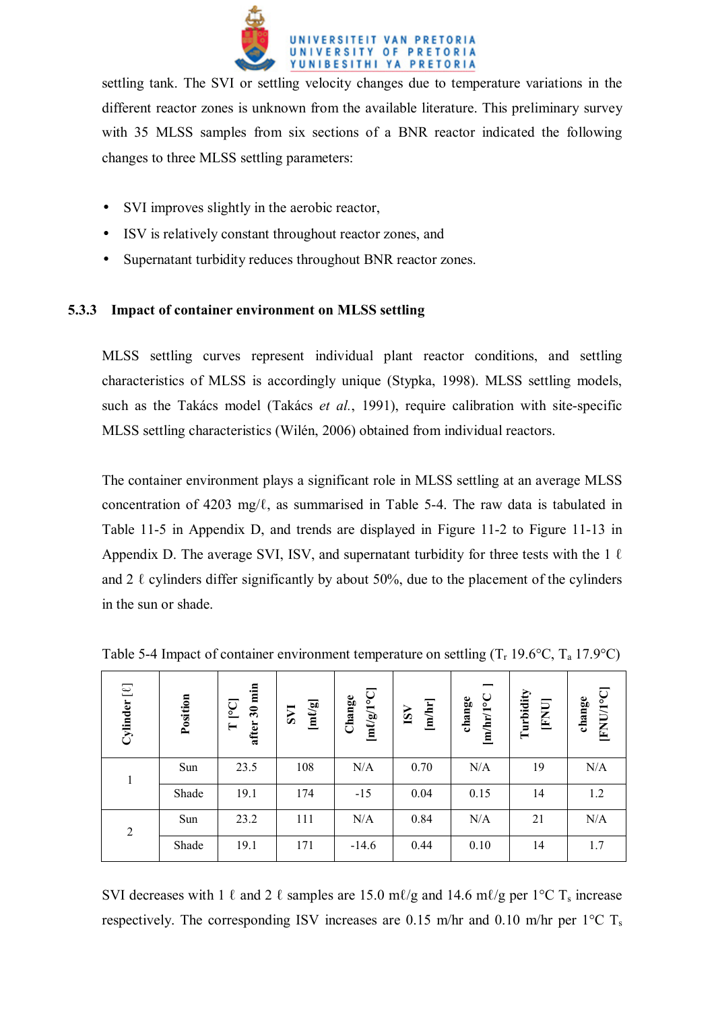

settling tank. The SVI or settling velocity changes due to temperature variations in the different reactor zones is unknown from the available literature. This preliminary survey with 35 MLSS samples from six sections of a BNR reactor indicated the following changes to three MLSS settling parameters:

- SVI improves slightly in the aerobic reactor,
- ISV is relatively constant throughout reactor zones, and
- Supernatant turbidity reduces throughout BNR reactor zones.

## **5.3.3 Impact of container environment on MLSS settling**

MLSS settling curves represent individual plant reactor conditions, and settling characteristics of MLSS is accordingly unique (Stypka, 1998). MLSS settling models, such as the Takács model (Takács *et al.*, 1991), require calibration with site-specific MLSS settling characteristics (Wilén, 2006) obtained from individual reactors.

The container environment plays a significant role in MLSS settling at an average MLSS concentration of 4203 mg/ℓ, as summarised in Table 5-4. The raw data is tabulated in Table 11-5 in Appendix D, and trends are displayed in Figure 11-2 to Figure 11-13 in Appendix D. The average SVI, ISV, and supernatant turbidity for three tests with the  $1 \ell$ and 2  $\ell$  cylinders differ significantly by about 50%, due to the placement of the cylinders in the sun or shade.

| $[{\mathfrak L}]$<br>Cylinder | Position | $30 \text{ min}$<br>$\overline{C}$<br>after.<br>$\vdash$ | <b>IAS</b> | $[m\ell/g/1\,{\rm C}]$<br>Change | [m/hr]<br>ISV | –<br>$[m/hr/1^{\circ}C$<br>change | Turbidity<br>[FNU] | <b>FNU/1°C</b><br>change |
|-------------------------------|----------|----------------------------------------------------------|------------|----------------------------------|---------------|-----------------------------------|--------------------|--------------------------|
|                               | Sun      | 23.5                                                     | 108        | N/A                              | 0.70          | N/A                               | 19                 | N/A                      |
|                               | Shade    | 19.1                                                     | 174        | $-15$                            | 0.04          | 0.15                              | 14                 | 1.2                      |
| $\overline{2}$                | Sun      | 23.2                                                     | 111        | N/A                              | 0.84          | N/A                               | 21                 | N/A                      |
|                               | Shade    | 19.1                                                     | 171        | $-14.6$                          | 0.44          | 0.10                              | 14                 | 1.7                      |

Table 5-4 Impact of container environment temperature on settling  $(T_1 19.6^{\circ}C, T_2 17.9^{\circ}C)$ 

SVI decreases with 1  $\ell$  and 2  $\ell$  samples are 15.0 m $\ell$ /g and 14.6 m $\ell$ /g per 1°C T<sub>s</sub> increase respectively. The corresponding ISV increases are 0.15 m/hr and 0.10 m/hr per  $1^{\circ}$ C T<sub>s</sub>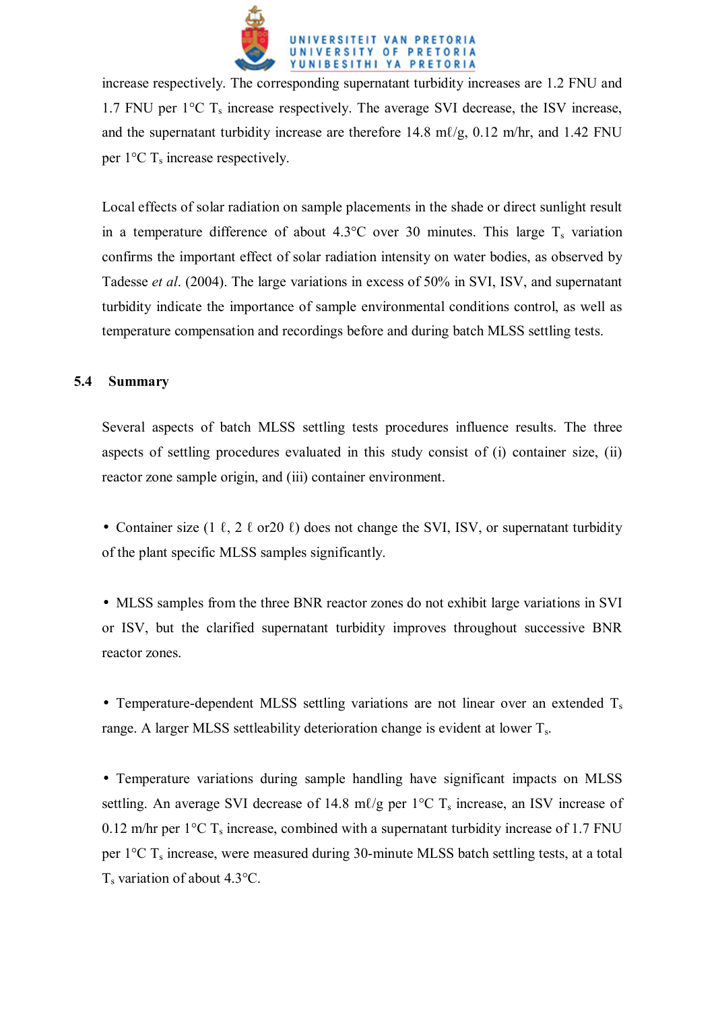

increase respectively. The corresponding supernatant turbidity increases are 1.2 FNU and 1.7 FNU per  $1^{\circ}$ C T<sub>s</sub> increase respectively. The average SVI decrease, the ISV increase, and the supernatant turbidity increase are therefore  $14.8 \text{ m}/g$ ,  $0.12 \text{ m}/\text{hr}$ , and  $1.42 \text{ FNU}$ per  $1^{\circ}$ C T<sub>s</sub> increase respectively.

Local effects of solar radiation on sample placements in the shade or direct sunlight result in a temperature difference of about  $4.3^{\circ}$ C over 30 minutes. This large T<sub>s</sub> variation confirms the important effect of solar radiation intensity on water bodies, as observed by Tadesse *et al*. (2004). The large variations in excess of 50% in SVI, ISV, and supernatant turbidity indicate the importance of sample environmental conditions control, as well as temperature compensation and recordings before and during batch MLSS settling tests.

## **5.4 Summary**

Several aspects of batch MLSS settling tests procedures influence results. The three aspects of settling procedures evaluated in this study consist of (i) container size, (ii) reactor zone sample origin, and (iii) container environment.

• Container size (1  $\ell$ , 2  $\ell$  or 20  $\ell$ ) does not change the SVI, ISV, or supernatant turbidity of the plant specific MLSS samples significantly.

• MLSS samples from the three BNR reactor zones do not exhibit large variations in SVI or ISV, but the clarified supernatant turbidity improves throughout successive BNR reactor zones.

• Temperature-dependent MLSS settling variations are not linear over an extended  $T_s$ range. A larger MLSS settleability deterioration change is evident at lower  $T_s$ .

• Temperature variations during sample handling have significant impacts on MLSS settling. An average SVI decrease of 14.8 m $\ell$ /g per 1 °C T<sub>s</sub> increase, an ISV increase of 0.12 m/hr per  $1^{\circ}$ C T<sub>s</sub> increase, combined with a supernatant turbidity increase of 1.7 FNU per  $1^{\circ}$ C T<sub>s</sub> increase, were measured during 30-minute MLSS batch settling tests, at a total  $T_s$  variation of about 4.3 $^{\circ}$ C.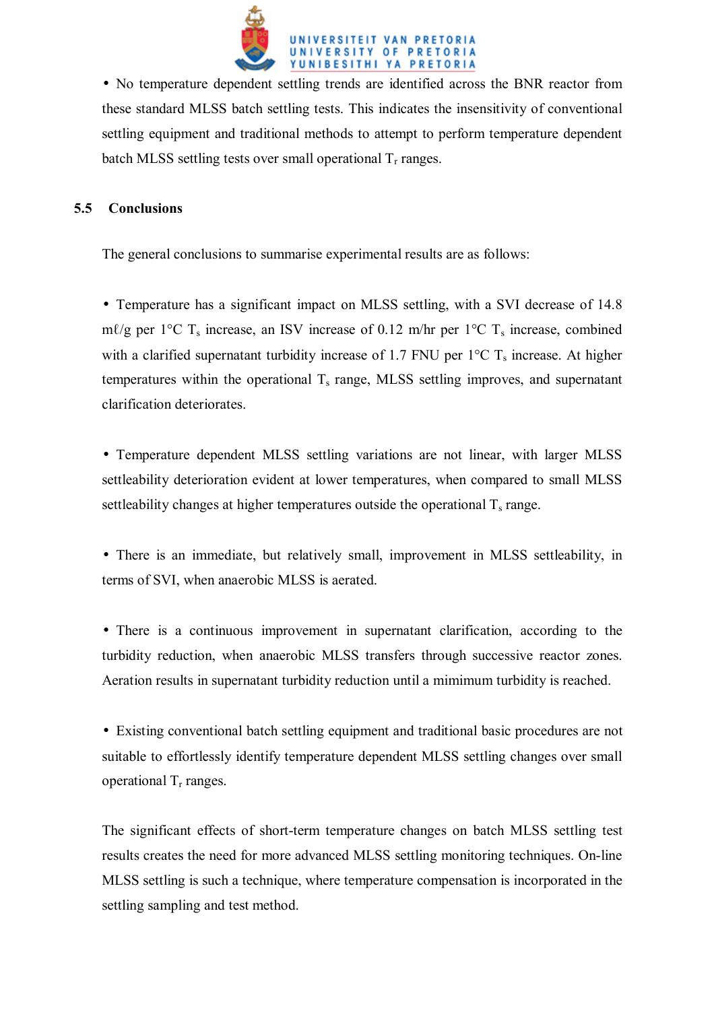

• No temperature dependent settling trends are identified across the BNR reactor from these standard MLSS batch settling tests. This indicates the insensitivity of conventional settling equipment and traditional methods to attempt to perform temperature dependent batch MLSS settling tests over small operational  $T_r$  ranges.

## **5.5 Conclusions**

The general conclusions to summarise experimental results are as follows:

• Temperature has a significant impact on MLSS settling, with a SVI decrease of 14.8 m $\ell$ /g per 1°C T<sub>s</sub> increase, an ISV increase of 0.12 m/hr per 1°C T<sub>s</sub> increase, combined with a clarified supernatant turbidity increase of 1.7 FNU per  $1^{\circ}$ C T<sub>s</sub> increase. At higher temperatures within the operational  $T_s$  range, MLSS settling improves, and supernatant clarification deteriorates.

• Temperature dependent MLSS settling variations are not linear, with larger MLSS settleability deterioration evident at lower temperatures, when compared to small MLSS settleability changes at higher temperatures outside the operational  $T_s$  range.

• There is an immediate, but relatively small, improvement in MLSS settleability, in terms of SVI, when anaerobic MLSS is aerated.

• There is a continuous improvement in supernatant clarification, according to the turbidity reduction, when anaerobic MLSS transfers through successive reactor zones. Aeration results in supernatant turbidity reduction until a mimimum turbidity is reached.

• Existing conventional batch settling equipment and traditional basic procedures are not suitable to effortlessly identify temperature dependent MLSS settling changes over small operational  $T_r$  ranges.

The significant effects of short-term temperature changes on batch MLSS settling test results creates the need for more advanced MLSS settling monitoring techniques. On-line MLSS settling is such a technique, where temperature compensation is incorporated in the settling sampling and test method.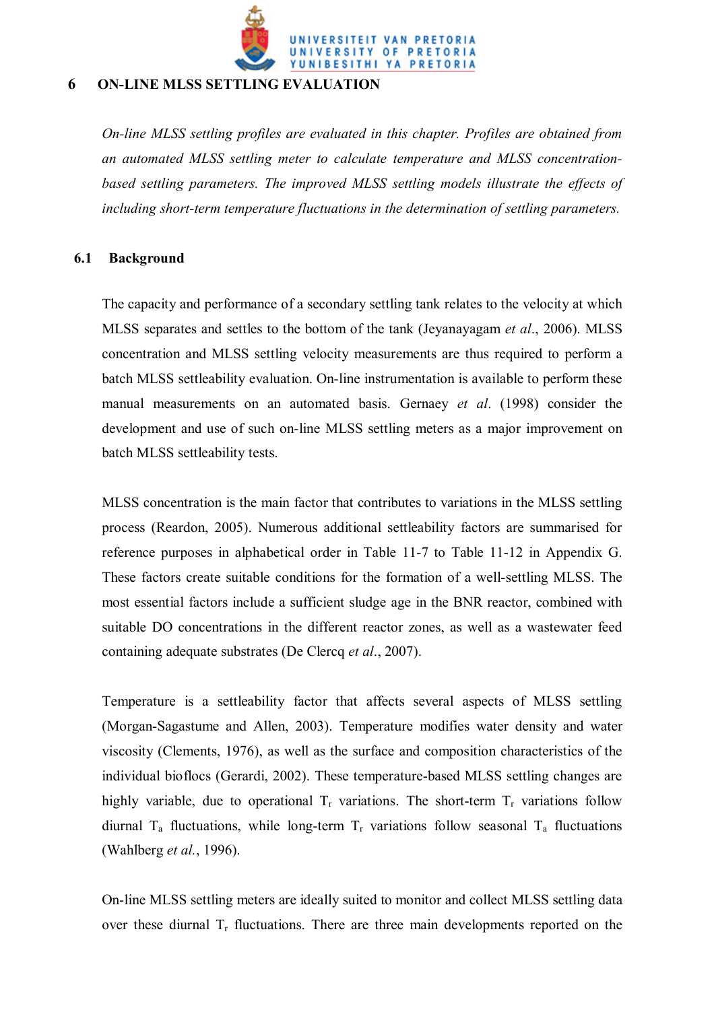

# **6 ON-LINE MLSS SETTLING EVALUATION**

*On-line MLSS settling profiles are evaluated in this chapter. Profiles are obtained from an automated MLSS settling meter to calculate temperature and MLSS concentration*based settling parameters. The improved MLSS settling models illustrate the effects of *including short-term temperature fluctuations in the determination of settling parameters.*

### **6.1 Background**

The capacity and performance of a secondary settling tank relates to the velocity at which MLSS separates and settles to the bottom of the tank (Jeyanayagam *et al*., 2006). MLSS concentration and MLSS settling velocity measurements are thus required to perform a batch MLSS settleability evaluation. On-line instrumentation is available to perform these manual measurements on an automated basis. Gernaey *et al*. (1998) consider the development and use of such on-line MLSS settling meters as a major improvement on batch MLSS settleability tests.

MLSS concentration is the main factor that contributes to variations in the MLSS settling process (Reardon, 2005). Numerous additional settleability factors are summarised for reference purposes in alphabetical order in Table 11-7 to Table 11-12 in Appendix G. These factors create suitable conditions for the formation of a well-settling MLSS. The most essential factors include a sufficient sludge age in the BNR reactor, combined with suitable DO concentrations in the different reactor zones, as well as a wastewater feed containing adequate substrates (De Clercq *et al*., 2007).

Temperature is a settleability factor that affects several aspects of MLSS settling (Morgan-Sagastume and Allen, 2003). Temperature modifies water density and water viscosity (Clements, 1976), as well as the surface and composition characteristics of the individual bioflocs (Gerardi, 2002). These temperature-based MLSS settling changes are highly variable, due to operational  $T_r$  variations. The short-term  $T_r$  variations follow diurnal  $T_a$  fluctuations, while long-term  $T_r$  variations follow seasonal  $T_a$  fluctuations (Wahlberg *et al.*, 1996).

On-line MLSS settling meters are ideally suited to monitor and collect MLSS settling data over these diurnal  $T_r$  fluctuations. There are three main developments reported on the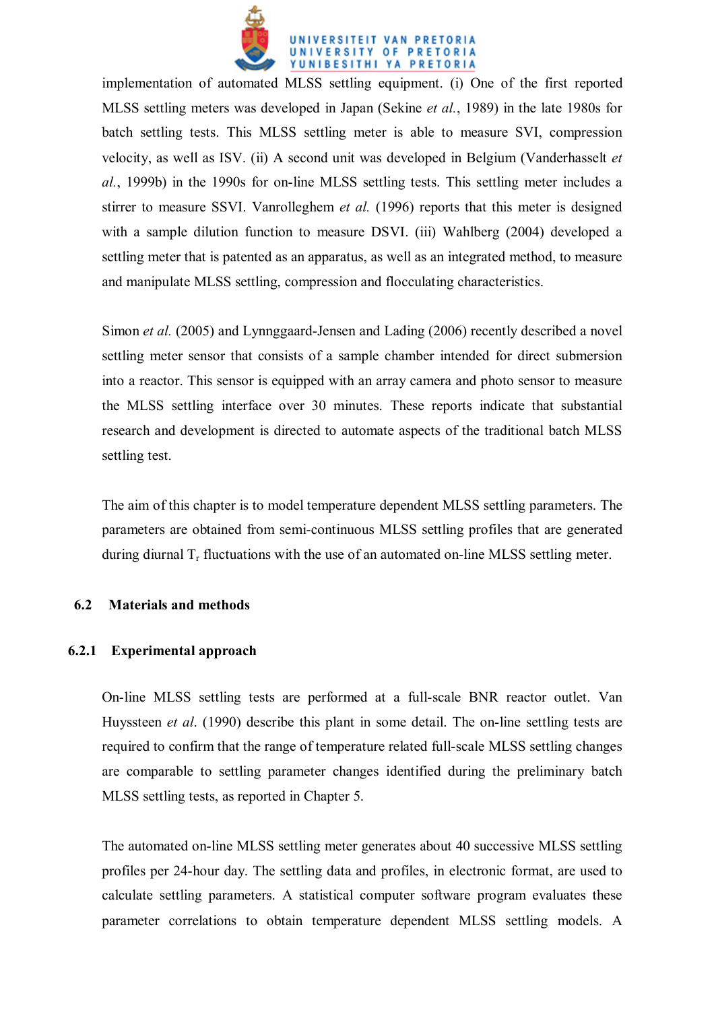

implementation of automated MLSS settling equipment. (i) One of the first reported MLSS settling meters was developed in Japan (Sekine *et al.*, 1989) in the late 1980s for batch settling tests. This MLSS settling meter is able to measure SVI, compression velocity, as well as ISV. (ii) A second unit was developed in Belgium (Vanderhasselt *et al.*, 1999b) in the 1990s for on-line MLSS settling tests. This settling meter includes a stirrer to measure SSVI. Vanrolleghem *et al.* (1996) reports that this meter is designed with a sample dilution function to measure DSVI. (iii) Wahlberg (2004) developed a settling meter that is patented as an apparatus, as well as an integrated method, to measure and manipulate MLSS settling, compression and flocculating characteristics.

Simon *et al.* (2005) and Lynnggaard-Jensen and Lading (2006) recently described a novel settling meter sensor that consists of a sample chamber intended for direct submersion into a reactor. This sensor is equipped with an array camera and photo sensor to measure the MLSS settling interface over 30 minutes. These reports indicate that substantial research and development is directed to automate aspects of the traditional batch MLSS settling test.

The aim of this chapter is to model temperature dependent MLSS settling parameters. The parameters are obtained from semi-continuous MLSS settling profiles that are generated during diurnal  $T_r$  fluctuations with the use of an automated on-line MLSS settling meter.

### **6.2 Materials and methods**

### **6.2.1 Experimental approach**

On-line MLSS settling tests are performed at a full-scale BNR reactor outlet. Van Huyssteen *et al*. (1990) describe this plant in some detail. The on-line settling tests are required to confirm that the range of temperature related full-scale MLSS settling changes are comparable to settling parameter changes identified during the preliminary batch MLSS settling tests, as reported in Chapter 5.

The automated on-line MLSS settling meter generates about 40 successive MLSS settling profiles per 24-hour day. The settling data and profiles, in electronic format, are used to calculate settling parameters. A statistical computer software program evaluates these parameter correlations to obtain temperature dependent MLSS settling models. A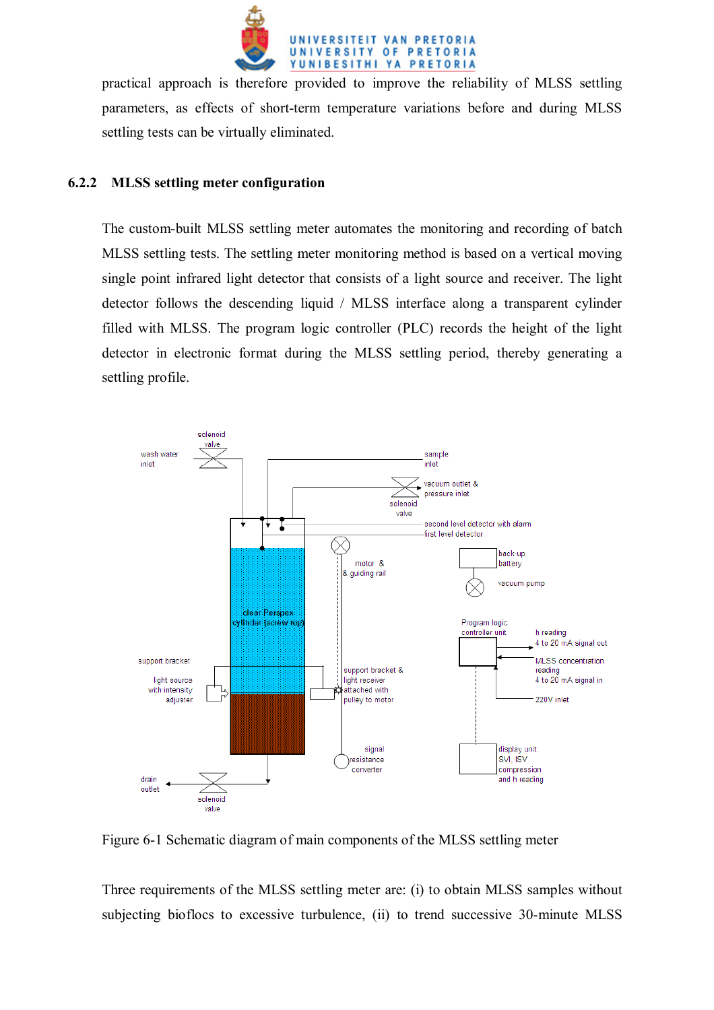

practical approach is therefore provided to improve the reliability of MLSS settling parameters, as effects of short-term temperature variations before and during MLSS settling tests can be virtually eliminated.

## **6.2.2 MLSS settling meter configuration**

The custom-built MLSS settling meter automates the monitoring and recording of batch MLSS settling tests. The settling meter monitoring method is based on a vertical moving single point infrared light detector that consists of a light source and receiver. The light detector follows the descending liquid / MLSS interface along a transparent cylinder filled with MLSS. The program logic controller (PLC) records the height of the light detector in electronic format during the MLSS settling period, thereby generating a settling profile.



Figure 6-1 Schematic diagram of main components of the MLSS settling meter

Three requirements of the MLSS settling meter are: (i) to obtain MLSS samples without subjecting bioflocs to excessive turbulence, (ii) to trend successive 30-minute MLSS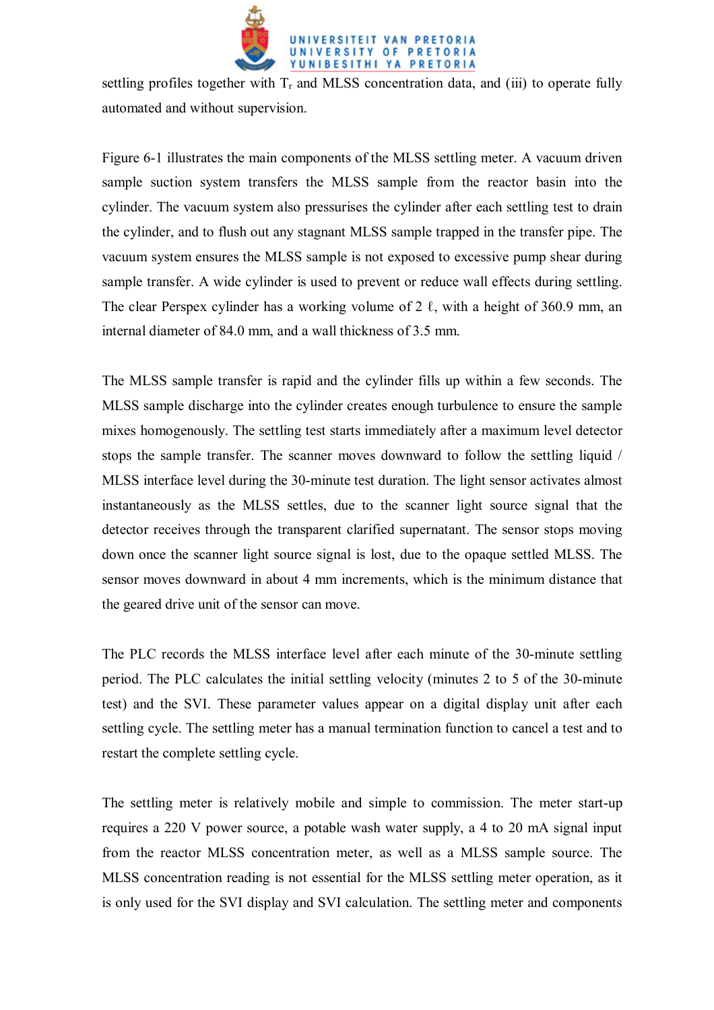

settling profiles together with  $T_r$  and MLSS concentration data, and (iii) to operate fully automated and without supervision.

Figure 6-1 illustrates the main components of the MLSS settling meter. A vacuum driven sample suction system transfers the MLSS sample from the reactor basin into the cylinder. The vacuum system also pressurises the cylinder after each settling test to drain the cylinder, and to flush out any stagnant MLSS sample trapped in the transfer pipe. The vacuum system ensures the MLSS sample is not exposed to excessive pump shear during sample transfer. A wide cylinder is used to prevent or reduce wall effects during settling. The clear Perspex cylinder has a working volume of  $2 \ell$ , with a height of 360.9 mm, an internal diameter of 84.0 mm, and a wall thickness of 3.5 mm.

The MLSS sample transfer is rapid and the cylinder fills up within a few seconds. The MLSS sample discharge into the cylinder creates enough turbulence to ensure the sample mixes homogenously. The settling test starts immediately after a maximum level detector stops the sample transfer. The scanner moves downward to follow the settling liquid / MLSS interface level during the 30-minute test duration. The light sensor activates almost instantaneously as the MLSS settles, due to the scanner light source signal that the detector receives through the transparent clarified supernatant. The sensor stops moving down once the scanner light source signal is lost, due to the opaque settled MLSS. The sensor moves downward in about 4 mm increments, which is the minimum distance that the geared drive unit of the sensor can move.

The PLC records the MLSS interface level after each minute of the 30-minute settling period. The PLC calculates the initial settling velocity (minutes 2 to 5 of the 30-minute test) and the SVI. These parameter values appear on a digital display unit after each settling cycle. The settling meter has a manual termination function to cancel a test and to restart the complete settling cycle.

The settling meter is relatively mobile and simple to commission. The meter start-up requires a 220 V power source, a potable wash water supply, a 4 to 20 mA signal input from the reactor MLSS concentration meter, as well as a MLSS sample source. The MLSS concentration reading is not essential for the MLSS settling meter operation, as it is only used for the SVI display and SVI calculation. The settling meter and components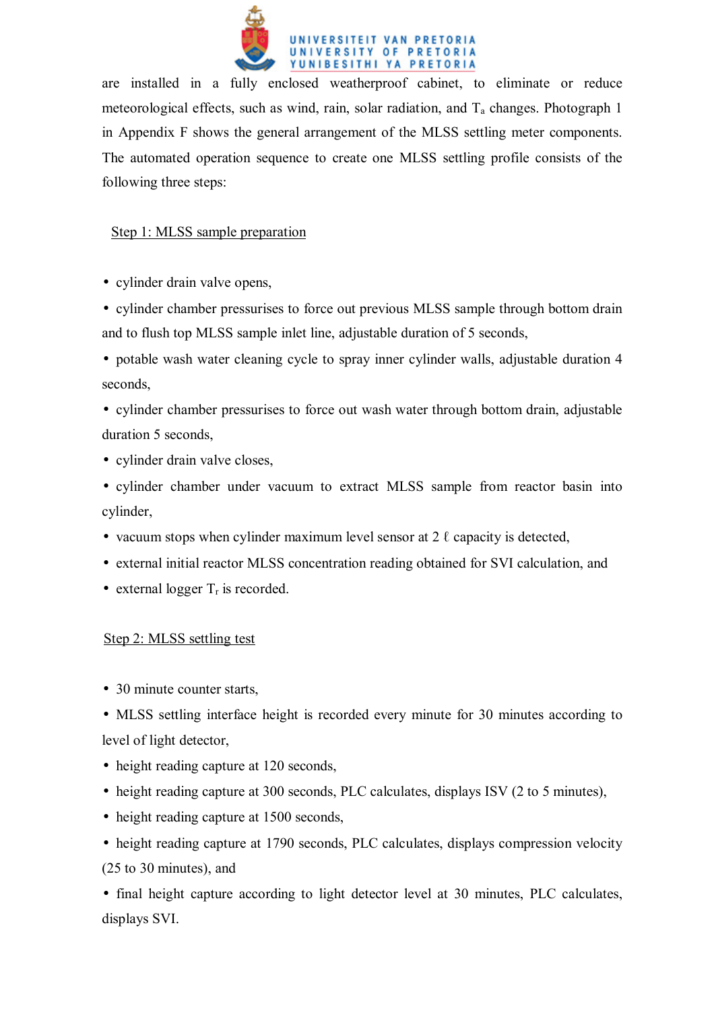

are installed in a fully enclosed weatherproof cabinet, to eliminate or reduce meteorological effects, such as wind, rain, solar radiation, and  $T_a$  changes. Photograph 1 in Appendix F shows the general arrangement of the MLSS settling meter components. The automated operation sequence to create one MLSS settling profile consists of the following three steps:

# Step 1: MLSS sample preparation

• cylinder drain valve opens.

- cylinder chamber pressurises to force out previous MLSS sample through bottom drain and to flush top MLSS sample inlet line, adjustable duration of 5 seconds,
- potable wash water cleaning cycle to spray inner cylinder walls, adjustable duration 4 seconds,
- cylinder chamber pressurises to force out wash water through bottom drain, adjustable duration 5 seconds,
- cylinder drain valve closes,
- cylinder chamber under vacuum to extract MLSS sample from reactor basin into cylinder,
- vacuum stops when cylinder maximum level sensor at  $2 \ell$  capacity is detected,
- external initial reactor MLSS concentration reading obtained for SVI calculation, and
- external logger  $T_r$  is recorded.

# Step 2: MLSS settling test

- 30 minute counter starts,
- MLSS settling interface height is recorded every minute for 30 minutes according to level of light detector,
- height reading capture at 120 seconds,
- height reading capture at 300 seconds, PLC calculates, displays ISV (2 to 5 minutes),
- height reading capture at 1500 seconds,
- height reading capture at 1790 seconds, PLC calculates, displays compression velocity (25 to 30 minutes), and

• final height capture according to light detector level at 30 minutes, PLC calculates, displays SVI.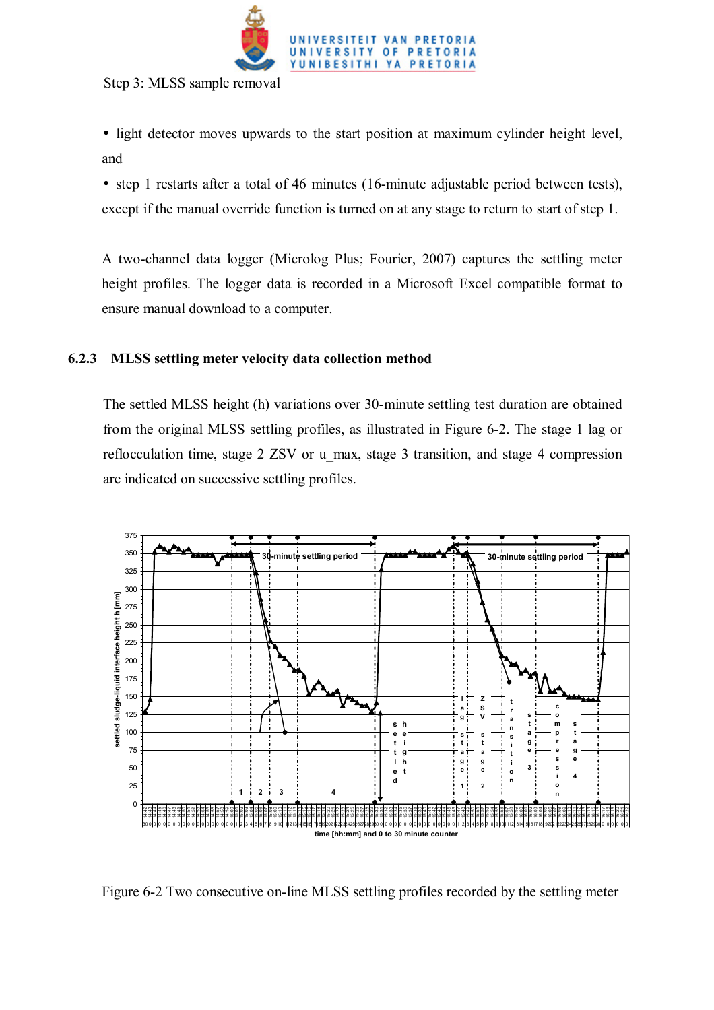

Step 3: MLSS sample removal

- light detector moves upwards to the start position at maximum cylinder height level, and
- step 1 restarts after a total of 46 minutes (16-minute adjustable period between tests), except if the manual override function is turned on at any stage to return to start of step 1.

A two-channel data logger (Microlog Plus; Fourier, 2007) captures the settling meter height profiles. The logger data is recorded in a Microsoft Excel compatible format to ensure manual download to a computer.

# **6.2.3 MLSS settling meter velocity data collection method**

The settled MLSS height (h) variations over 30-minute settling test duration are obtained from the original MLSS settling profiles, as illustrated in Figure 6-2. The stage 1 lag or reflocculation time, stage 2 ZSV or u\_max, stage 3 transition, and stage 4 compression are indicated on successive settling profiles.



Figure 6-2 Two consecutive on-line MLSS settling profiles recorded by the settling meter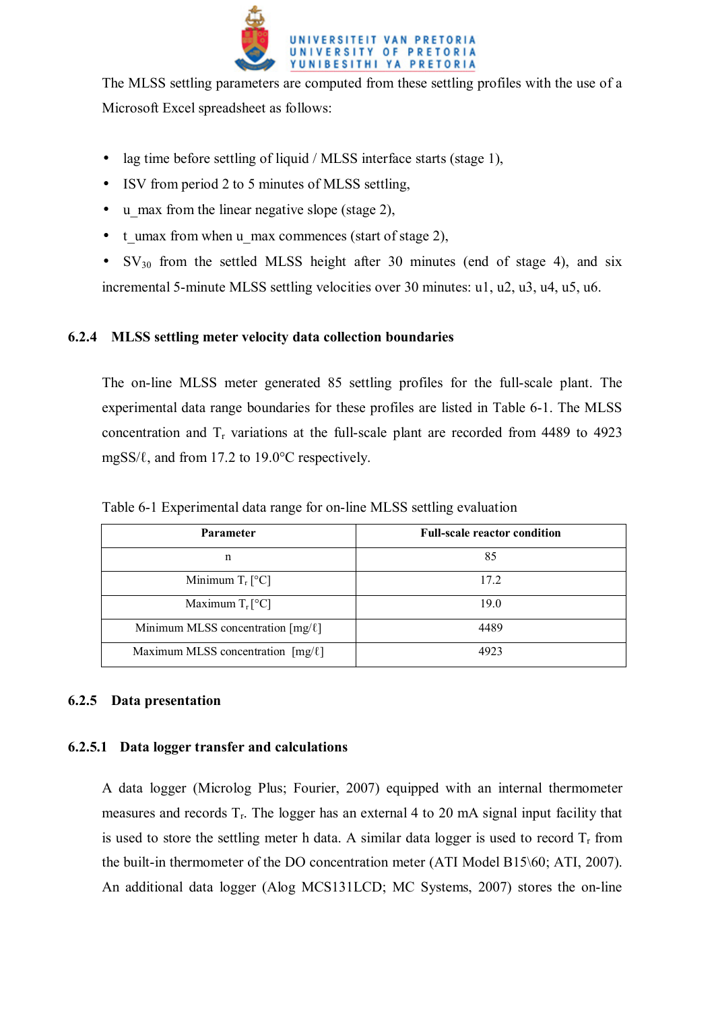

The MLSS settling parameters are computed from these settling profiles with the use of a Microsoft Excel spreadsheet as follows:

- lag time before settling of liquid / MLSS interface starts (stage 1),
- ISV from period 2 to 5 minutes of MLSS settling,
- u\_max from the linear negative slope (stage 2),
- t\_umax from when u\_max commences (start of stage 2),
- $SV_{30}$  from the settled MLSS height after 30 minutes (end of stage 4), and six incremental 5-minute MLSS settling velocities over 30 minutes: u1, u2, u3, u4, u5, u6.

# **6.2.4 MLSS settling meter velocity data collection boundaries**

The on-line MLSS meter generated 85 settling profiles for the full-scale plant. The experimental data range boundaries for these profiles are listed in Table 6-1. The MLSS concentration and  $T_r$  variations at the full-scale plant are recorded from 4489 to 4923 mgSS/ℓ, and from 17.2 to 19.0°C respectively.

| <b>Parameter</b>                       | <b>Full-scale reactor condition</b> |
|----------------------------------------|-------------------------------------|
| n                                      | 85                                  |
| Minimum $T_r$ [°C]                     | 17.2                                |
| Maximum $T_r$ [°C]                     | 19.0                                |
| Minimum MLSS concentration $[mg/\ell]$ | 4489                                |
| Maximum MLSS concentration $[mg/\ell]$ | 4923                                |

Table 6-1 Experimental data range for on-line MLSS settling evaluation

# **6.2.5 Data presentation**

# **6.2.5.1 Data logger transfer and calculations**

A data logger (Microlog Plus; Fourier, 2007) equipped with an internal thermometer measures and records  $T_r$ . The logger has an external 4 to 20 mA signal input facility that is used to store the settling meter h data. A similar data logger is used to record  $T_r$  from the built-in thermometer of the DO concentration meter (ATI Model B15\60; ATI, 2007). An additional data logger (Alog MCS131LCD; MC Systems, 2007) stores the on-line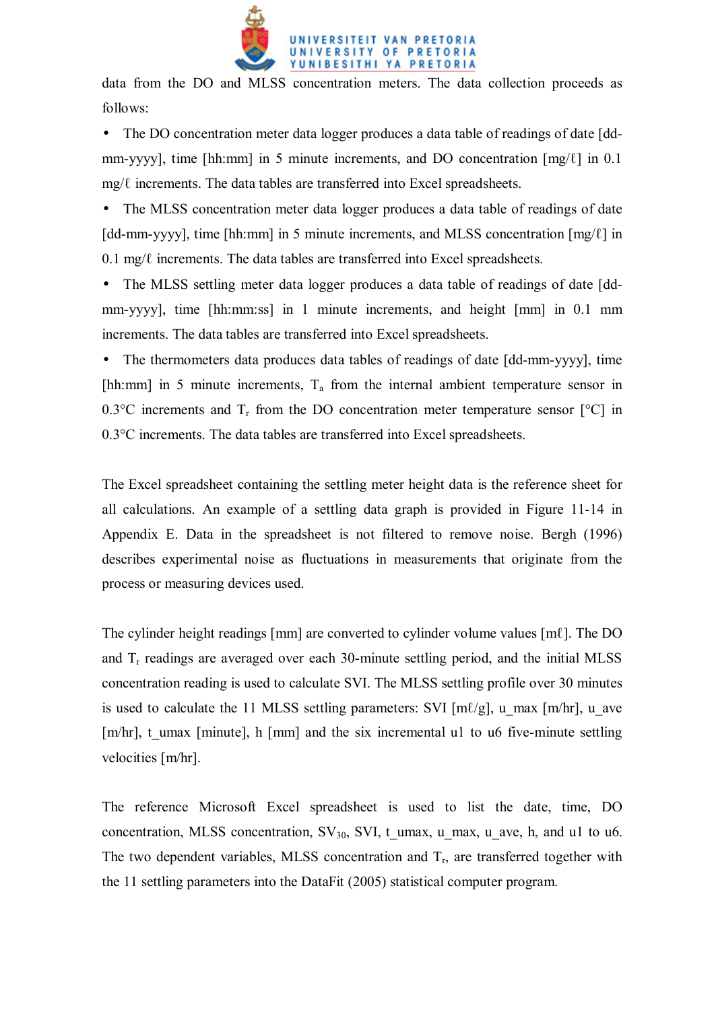

data from the DO and MLSS concentration meters. The data collection proceeds as follows:

• The DO concentration meter data logger produces a data table of readings of date [ddmm-yyyy], time [hh:mm] in 5 minute increments, and DO concentration [mg/ℓ] in 0.1  $mg/\ell$  increments. The data tables are transferred into Excel spreadsheets.

• The MLSS concentration meter data logger produces a data table of readings of date [dd-mm-yyyy], time [hh:mm] in 5 minute increments, and MLSS concentration [mg/ℓ] in  $0.1 \text{ mg}/\ell$  increments. The data tables are transferred into Excel spreadsheets.

• The MLSS settling meter data logger produces a data table of readings of date [ddmm-yyyy], time [hh:mm:ss] in 1 minute increments, and height [mm] in 0.1 mm increments. The data tables are transferred into Excel spreadsheets.

• The thermometers data produces data tables of readings of date [dd-mm-yyyy], time [hh:mm] in 5 minute increments,  $T_a$  from the internal ambient temperature sensor in 0.3 $^{\circ}$ C increments and T<sub>r</sub> from the DO concentration meter temperature sensor  $[{}^{\circ}$ C in 0.3°C increments. The data tables are transferred into Excel spreadsheets.

The Excel spreadsheet containing the settling meter height data is the reference sheet for all calculations. An example of a settling data graph is provided in Figure 11-14 in Appendix E. Data in the spreadsheet is not filtered to remove noise. Bergh (1996) describes experimental noise as fluctuations in measurements that originate from the process or measuring devices used.

The cylinder height readings [mm] are converted to cylinder volume values [mℓ]. The DO and  $T_r$  readings are averaged over each 30-minute settling period, and the initial MLSS concentration reading is used to calculate SVI. The MLSS settling profile over 30 minutes is used to calculate the 11 MLSS settling parameters: SVI  $[m\ell/g]$ , u\_max  $[m/hr]$ , u\_ave [m/hr], t\_umax [minute], h [mm] and the six incremental u1 to u6 five-minute settling velocities [m/hr].

The reference Microsoft Excel spreadsheet is used to list the date, time, DO concentration, MLSS concentration,  $SV_{30}$ , SVI, t\_umax, u\_max, u\_ave, h, and u1 to u6. The two dependent variables, MLSS concentration and  $T_r$ , are transferred together with the 11 settling parameters into the DataFit (2005) statistical computer program.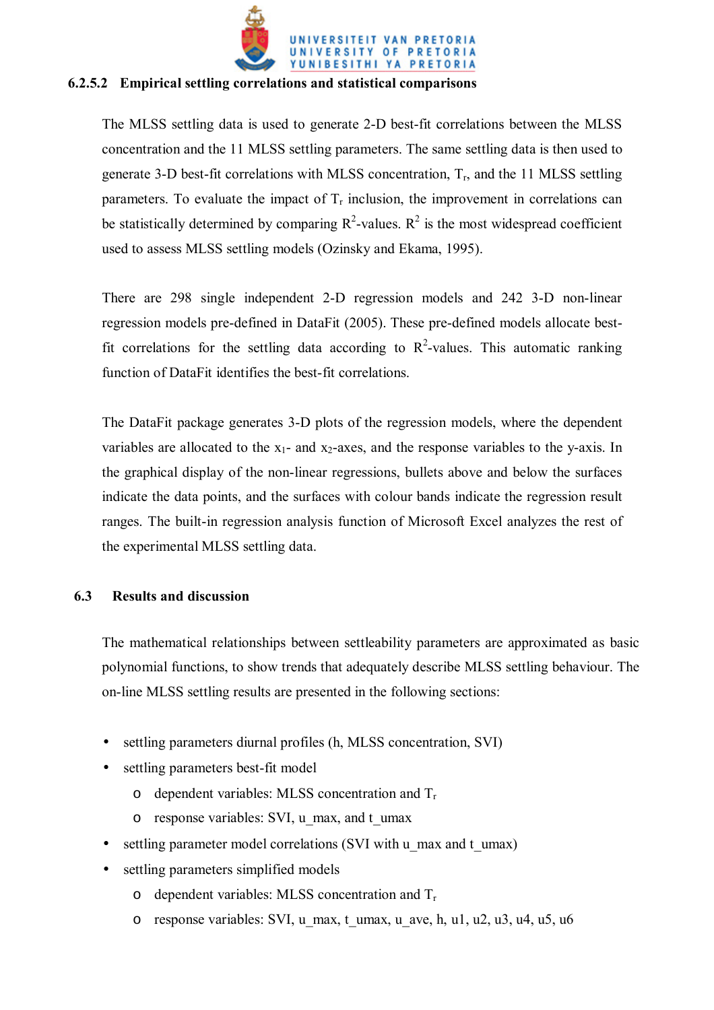

## **6.2.5.2 Empirical settling correlations and statistical comparisons**

The MLSS settling data is used to generate 2-D best-fit correlations between the MLSS concentration and the 11 MLSS settling parameters. The same settling data is then used to generate 3-D best-fit correlations with MLSS concentration,  $T_r$ , and the 11 MLSS settling parameters. To evaluate the impact of  $T_r$  inclusion, the improvement in correlations can be statistically determined by comparing  $\mathbb{R}^2$ -values.  $\mathbb{R}^2$  is the most widespread coefficient used to assess MLSS settling models (Ozinsky and Ekama, 1995).

There are 298 single independent 2-D regression models and 242 3-D non-linear regression models pre-defined in DataFit (2005). These pre-defined models allocate bestfit correlations for the settling data according to  $R^2$ -values. This automatic ranking function of DataFit identifies the best-fit correlations.

The DataFit package generates 3-D plots of the regression models, where the dependent variables are allocated to the  $x_1$ - and  $x_2$ -axes, and the response variables to the y-axis. In the graphical display of the non-linear regressions, bullets above and below the surfaces indicate the data points, and the surfaces with colour bands indicate the regression result ranges. The built-in regression analysis function of Microsoft Excel analyzes the rest of the experimental MLSS settling data.

# **6.3 Results and discussion**

The mathematical relationships between settleability parameters are approximated as basic polynomial functions, to show trends that adequately describe MLSS settling behaviour. The on-line MLSS settling results are presented in the following sections:

- settling parameters diurnal profiles (h, MLSS concentration, SVI)
- settling parameters best-fit model
	- $\circ$  dependent variables: MLSS concentration and  $T_r$
	- o response variables: SVI, u\_max, and t\_umax
- settling parameter model correlations (SVI with u\_max and t\_umax)
- settling parameters simplified models
	- $\circ$  dependent variables: MLSS concentration and  $T_r$
	- o response variables: SVI, u\_max, t\_umax, u\_ave, h, u1, u2, u3, u4, u5, u6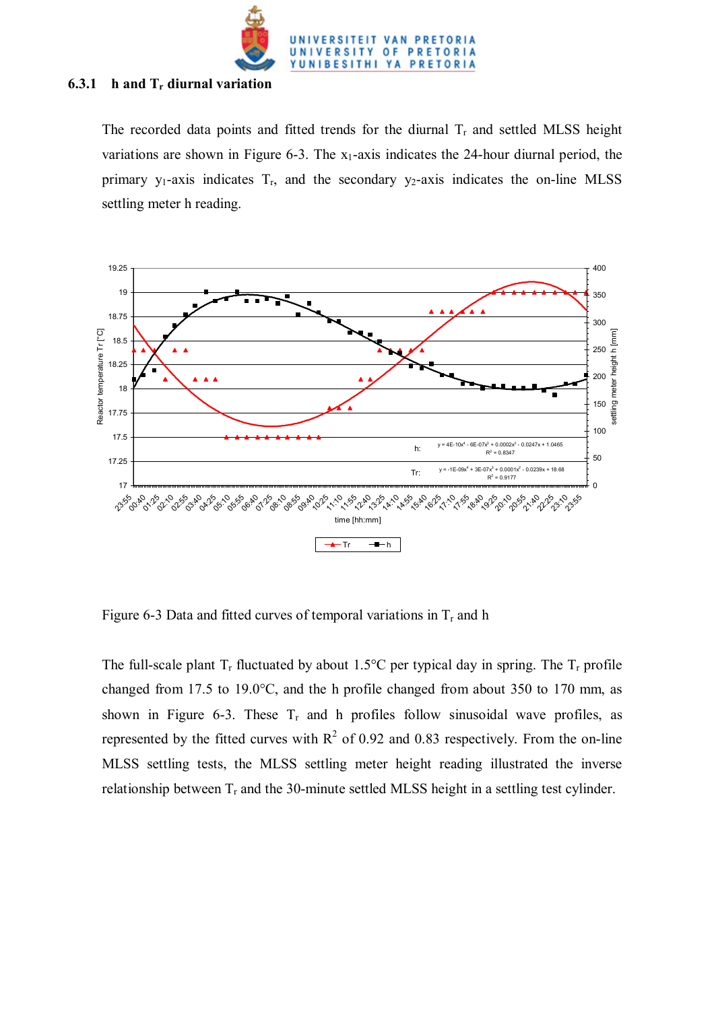

#### **6.3.1 h and Tr diurnal variation**

The recorded data points and fitted trends for the diurnal  $T_r$  and settled MLSS height variations are shown in Figure 6-3. The  $x_1$ -axis indicates the 24-hour diurnal period, the primary  $y_1$ -axis indicates  $T_r$ , and the secondary  $y_2$ -axis indicates the on-line MLSS settling meter h reading.



Figure 6-3 Data and fitted curves of temporal variations in  $T_r$  and h

The full-scale plant  $T_r$  fluctuated by about 1.5°C per typical day in spring. The  $T_r$  profile changed from 17.5 to 19.0°C, and the h profile changed from about 350 to 170 mm, as shown in Figure 6-3. These  $T_r$  and h profiles follow sinusoidal wave profiles, as represented by the fitted curves with  $R^2$  of 0.92 and 0.83 respectively. From the on-line MLSS settling tests, the MLSS settling meter height reading illustrated the inverse relationship between  $T_r$  and the 30-minute settled MLSS height in a settling test cylinder.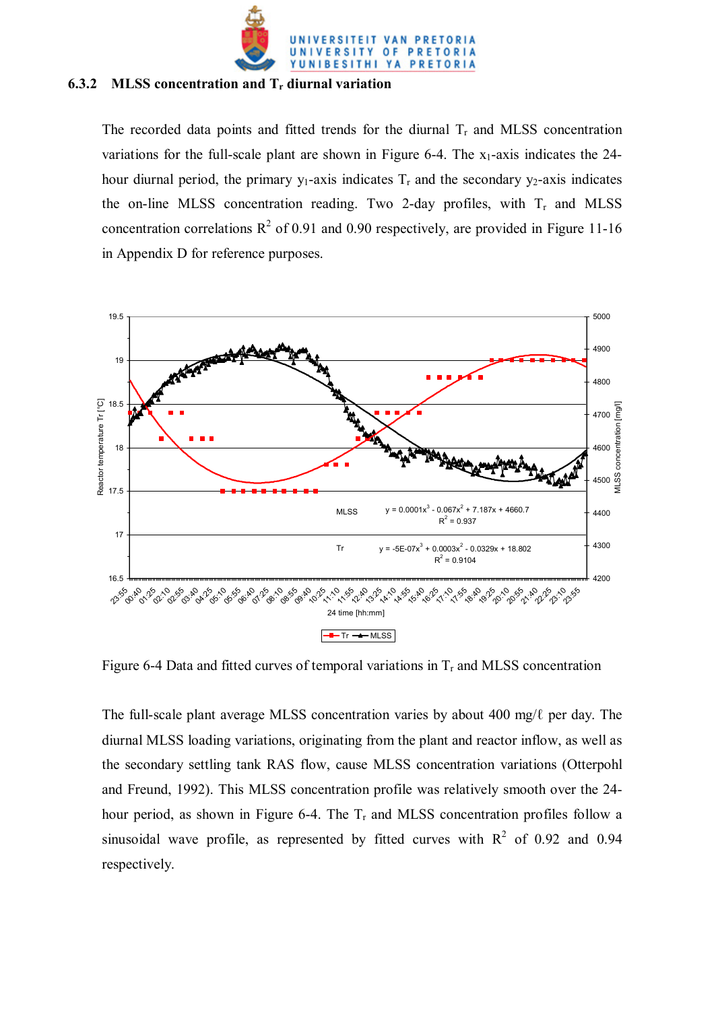

#### **6.3.2 MLSS concentration and Tr diurnal variation**

The recorded data points and fitted trends for the diurnal  $T_r$  and MLSS concentration variations for the full-scale plant are shown in Figure 6-4. The  $x_1$ -axis indicates the 24hour diurnal period, the primary  $y_1$ -axis indicates  $T_r$  and the secondary  $y_2$ -axis indicates the on-line MLSS concentration reading. Two 2-day profiles, with  $T_r$  and MLSS concentration correlations  $R^2$  of 0.91 and 0.90 respectively, are provided in Figure 11-16 in Appendix D for reference purposes.



Figure 6-4 Data and fitted curves of temporal variations in  $T_r$  and MLSS concentration

The full-scale plant average MLSS concentration varies by about 400 mg/ℓ per day. The diurnal MLSS loading variations, originating from the plant and reactor inflow, as well as the secondary settling tank RAS flow, cause MLSS concentration variations (Otterpohl and Freund, 1992). This MLSS concentration profile was relatively smooth over the 24 hour period, as shown in Figure 6-4. The  $T_r$  and MLSS concentration profiles follow a sinusoidal wave profile, as represented by fitted curves with  $R^2$  of 0.92 and 0.94 respectively.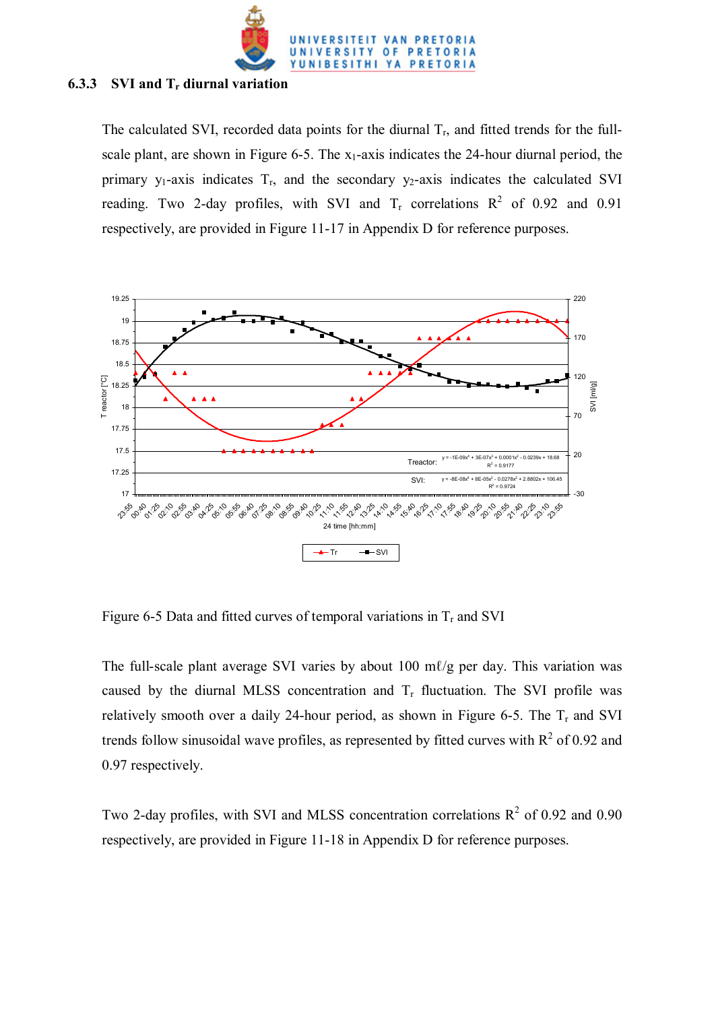

### **6.3.3 SVI and Tr diurnal variation**

The calculated SVI, recorded data points for the diurnal  $T_r$ , and fitted trends for the fullscale plant, are shown in Figure 6-5. The  $x_1$ -axis indicates the 24-hour diurnal period, the primary  $y_1$ -axis indicates  $T_r$ , and the secondary  $y_2$ -axis indicates the calculated SVI reading. Two 2-day profiles, with SVI and  $T_r$  correlations  $R^2$  of 0.92 and 0.91 respectively, are provided in Figure 11-17 in Appendix D for reference purposes.



Figure 6-5 Data and fitted curves of temporal variations in  $T<sub>r</sub>$  and SVI

The full-scale plant average SVI varies by about 100 m $\ell$ /g per day. This variation was caused by the diurnal MLSS concentration and  $T_r$  fluctuation. The SVI profile was relatively smooth over a daily 24-hour period, as shown in Figure 6-5. The  $T_r$  and SVI trends follow sinusoidal wave profiles, as represented by fitted curves with  $R^2$  of 0.92 and 0.97 respectively.

Two 2-day profiles, with SVI and MLSS concentration correlations  $R^2$  of 0.92 and 0.90 respectively, are provided in Figure 11-18 in Appendix D for reference purposes.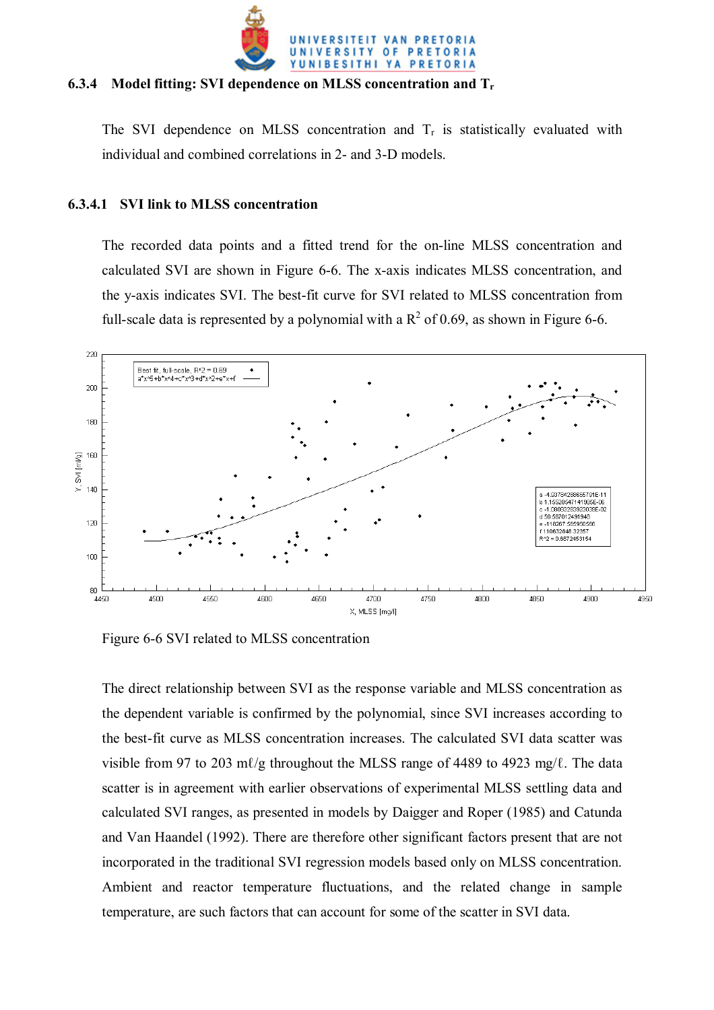

## **6.3.4 Model fitting: SVI dependence on MLSS concentration and Tr**

The SVI dependence on MLSS concentration and  $T_r$  is statistically evaluated with individual and combined correlations in 2- and 3-D models.

## **6.3.4.1 SVI link to MLSS concentration**

The recorded data points and a fitted trend for the on-line MLSS concentration and calculated SVI are shown in Figure 6-6. The x-axis indicates MLSS concentration, and the y-axis indicates SVI. The best-fit curve for SVI related to MLSS concentration from full-scale data is represented by a polynomial with a  $R^2$  of 0.69, as shown in Figure 6-6.



Figure 6-6 SVI related to MLSS concentration

The direct relationship between SVI as the response variable and MLSS concentration as the dependent variable is confirmed by the polynomial, since SVI increases according to the best-fit curve as MLSS concentration increases. The calculated SVI data scatter was visible from 97 to 203 mℓ/g throughout the MLSS range of 4489 to 4923 mg/ℓ. The data scatter is in agreement with earlier observations of experimental MLSS settling data and calculated SVI ranges, as presented in models by Daigger and Roper (1985) and Catunda and Van Haandel (1992). There are therefore other significant factors present that are not incorporated in the traditional SVI regression models based only on MLSS concentration. Ambient and reactor temperature fluctuations, and the related change in sample temperature, are such factors that can account for some of the scatter in SVI data.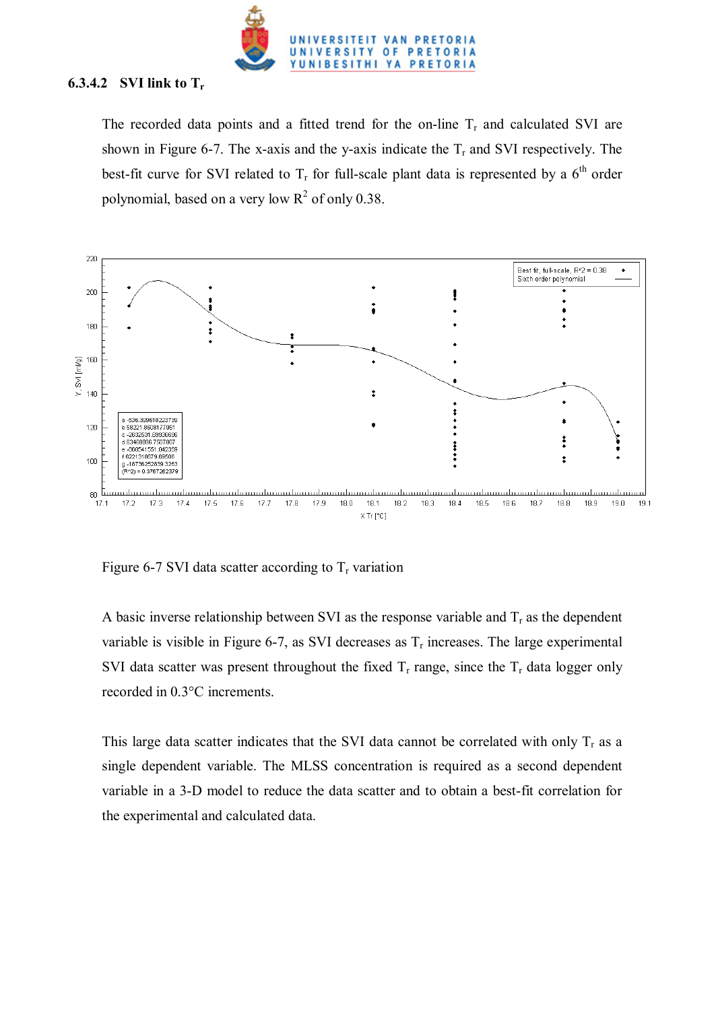

# **6.3.4.2 SVI link to Tr**

The recorded data points and a fitted trend for the on-line  $T_r$  and calculated SVI are shown in Figure 6-7. The x-axis and the y-axis indicate the  $T_r$  and SVI respectively. The best-fit curve for SVI related to  $T_r$  for full-scale plant data is represented by a  $6<sup>th</sup>$  order polynomial, based on a very low  $R^2$  of only 0.38.



Figure 6-7 SVI data scatter according to  $T_r$  variation

A basic inverse relationship between SVI as the response variable and  $T_r$  as the dependent variable is visible in Figure 6-7, as SVI decreases as  $T_r$  increases. The large experimental SVI data scatter was present throughout the fixed  $T_r$  range, since the  $T_r$  data logger only recorded in 0.3°C increments.

This large data scatter indicates that the SVI data cannot be correlated with only  $T_r$  as a single dependent variable. The MLSS concentration is required as a second dependent variable in a 3-D model to reduce the data scatter and to obtain a best-fit correlation for the experimental and calculated data.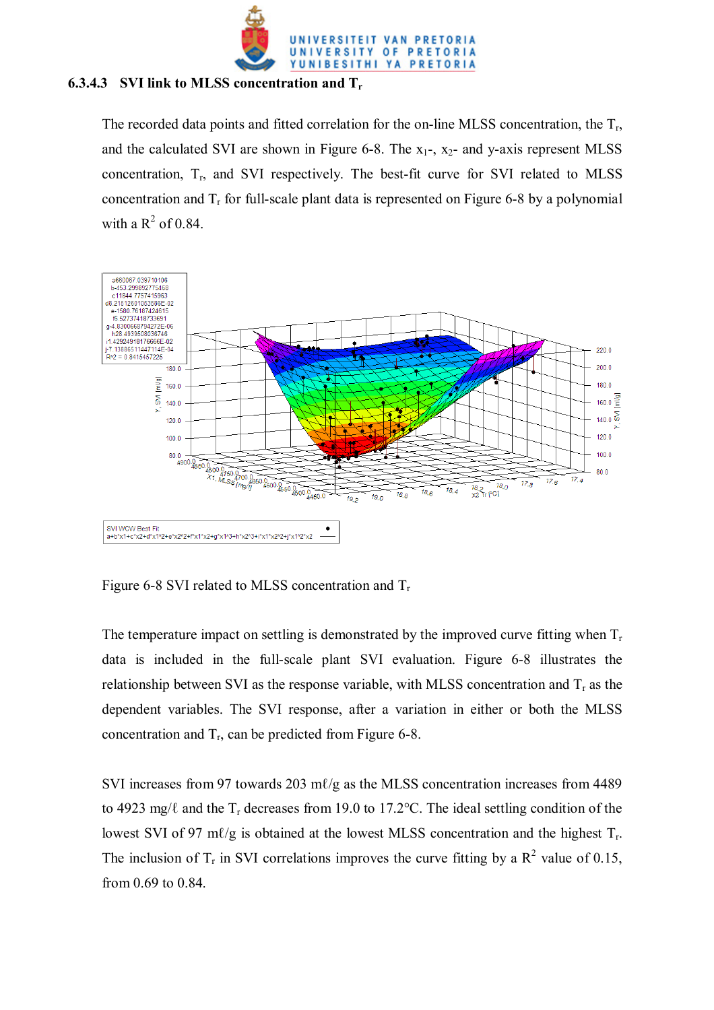

#### **6.3.4.3 SVI link to MLSS concentration and Tr**

The recorded data points and fitted correlation for the on-line MLSS concentration, the  $T_r$ , and the calculated SVI are shown in Figure 6-8. The  $x_1$ -,  $x_2$ - and y-axis represent MLSS concentration,  $T_{r}$ , and SVI respectively. The best-fit curve for SVI related to MLSS concentration and  $T_r$  for full-scale plant data is represented on Figure 6-8 by a polynomial with a  $R^2$  of 0.84.



Figure 6-8 SVI related to MLSS concentration and  $T_r$ 

The temperature impact on settling is demonstrated by the improved curve fitting when  $T_r$ data is included in the full-scale plant SVI evaluation. Figure 6-8 illustrates the relationship between SVI as the response variable, with MLSS concentration and  $T_r$  as the dependent variables. The SVI response, after a variation in either or both the MLSS concentration and  $T_r$ , can be predicted from Figure 6-8.

SVI increases from 97 towards 203 m $\ell$ /g as the MLSS concentration increases from 4489 to 4923 mg/ $\ell$  and the T<sub>r</sub> decreases from 19.0 to 17.2°C. The ideal settling condition of the lowest SVI of 97 m $\ell$ /g is obtained at the lowest MLSS concentration and the highest  $T_r$ . The inclusion of  $T_r$  in SVI correlations improves the curve fitting by a  $R^2$  value of 0.15, from 0.69 to 0.84.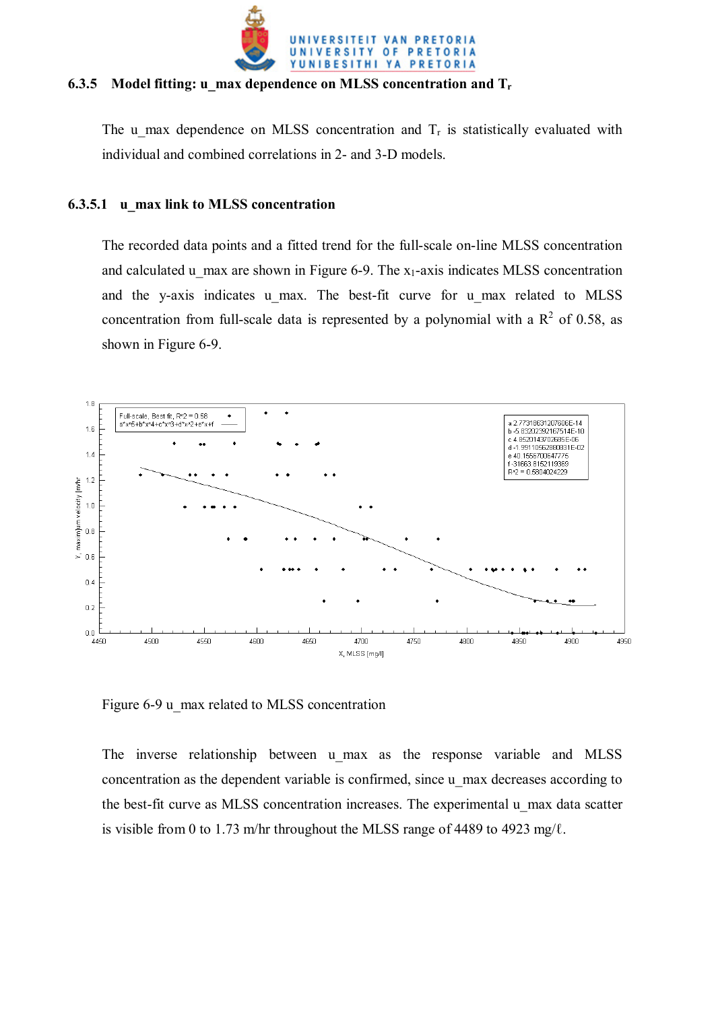

#### **6.3.5 Model fitting: u\_max dependence on MLSS concentration and Tr**

The u max dependence on MLSS concentration and  $T_r$  is statistically evaluated with individual and combined correlations in 2- and 3-D models.

## **6.3.5.1 u\_max link to MLSS concentration**

The recorded data points and a fitted trend for the full-scale on-line MLSS concentration and calculated u max are shown in Figure 6-9. The  $x_1$ -axis indicates MLSS concentration and the y-axis indicates u\_max. The best-fit curve for u\_max related to MLSS concentration from full-scale data is represented by a polynomial with a  $R^2$  of 0.58, as shown in Figure 6-9.



Figure 6-9 u\_max related to MLSS concentration

The inverse relationship between u max as the response variable and MLSS concentration as the dependent variable is confirmed, since u\_max decreases according to the best-fit curve as MLSS concentration increases. The experimental u\_max data scatter is visible from 0 to 1.73 m/hr throughout the MLSS range of 4489 to 4923 mg/ $\ell$ .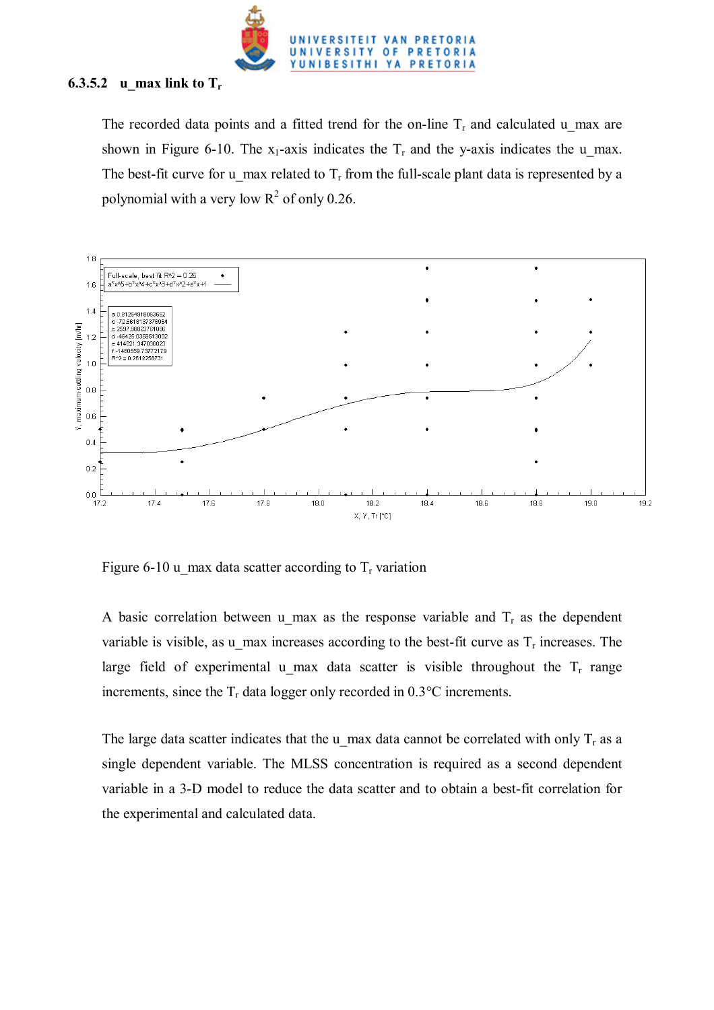

# **6.3.5.2 u\_max link to Tr**

The recorded data points and a fitted trend for the on-line  $T_r$  and calculated u max are shown in Figure 6-10. The  $x_1$ -axis indicates the  $T_r$  and the y-axis indicates the u\_max. The best-fit curve for u\_max related to  $T_r$  from the full-scale plant data is represented by a polynomial with a very low  $R^2$  of only 0.26.



Figure 6-10 u max data scatter according to  $T_r$  variation

A basic correlation between u max as the response variable and  $T_r$  as the dependent variable is visible, as u\_max increases according to the best-fit curve as  $T_r$  increases. The large field of experimental u max data scatter is visible throughout the  $T_r$  range increments, since the  $T_r$  data logger only recorded in 0.3 $\degree$ C increments.

The large data scatter indicates that the u\_max data cannot be correlated with only  $T_r$  as a single dependent variable. The MLSS concentration is required as a second dependent variable in a 3-D model to reduce the data scatter and to obtain a best-fit correlation for the experimental and calculated data.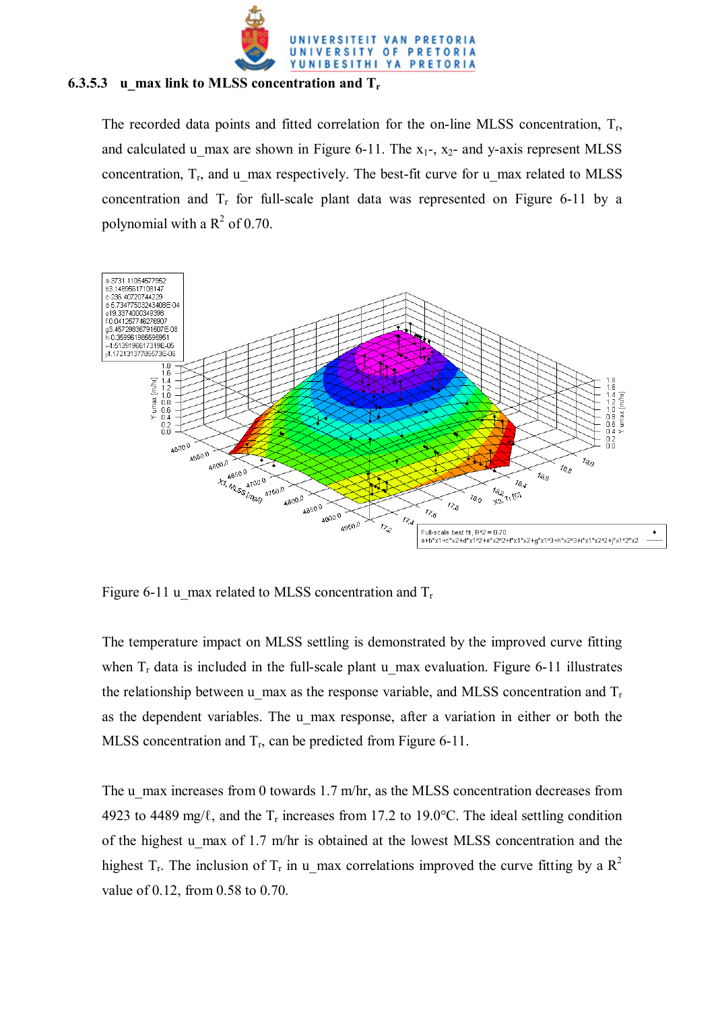

# **6.3.5.3 u\_max link to MLSS concentration and Tr**

The recorded data points and fitted correlation for the on-line MLSS concentration,  $T_r$ , and calculated u max are shown in Figure 6-11. The  $x_1$ -,  $x_2$ - and y-axis represent MLSS concentration,  $T_r$ , and u\_max respectively. The best-fit curve for u\_max related to MLSS concentration and  $T_r$  for full-scale plant data was represented on Figure 6-11 by a polynomial with a  $R^2$  of 0.70.



Figure 6-11 u\_max related to MLSS concentration and  $T_r$ 

The temperature impact on MLSS settling is demonstrated by the improved curve fitting when  $T_r$  data is included in the full-scale plant u max evaluation. Figure 6-11 illustrates the relationship between u\_max as the response variable, and MLSS concentration and  $T_r$ as the dependent variables. The u max response, after a variation in either or both the MLSS concentration and  $T_r$ , can be predicted from Figure 6-11.

The u\_max increases from 0 towards 1.7 m/hr, as the MLSS concentration decreases from 4923 to 4489 mg/ $\ell$ , and the T<sub>r</sub> increases from 17.2 to 19.0°C. The ideal settling condition of the highest u\_max of 1.7 m/hr is obtained at the lowest MLSS concentration and the highest T<sub>r</sub>. The inclusion of T<sub>r</sub> in u\_max correlations improved the curve fitting by a R<sup>2</sup> value of 0.12, from 0.58 to 0.70.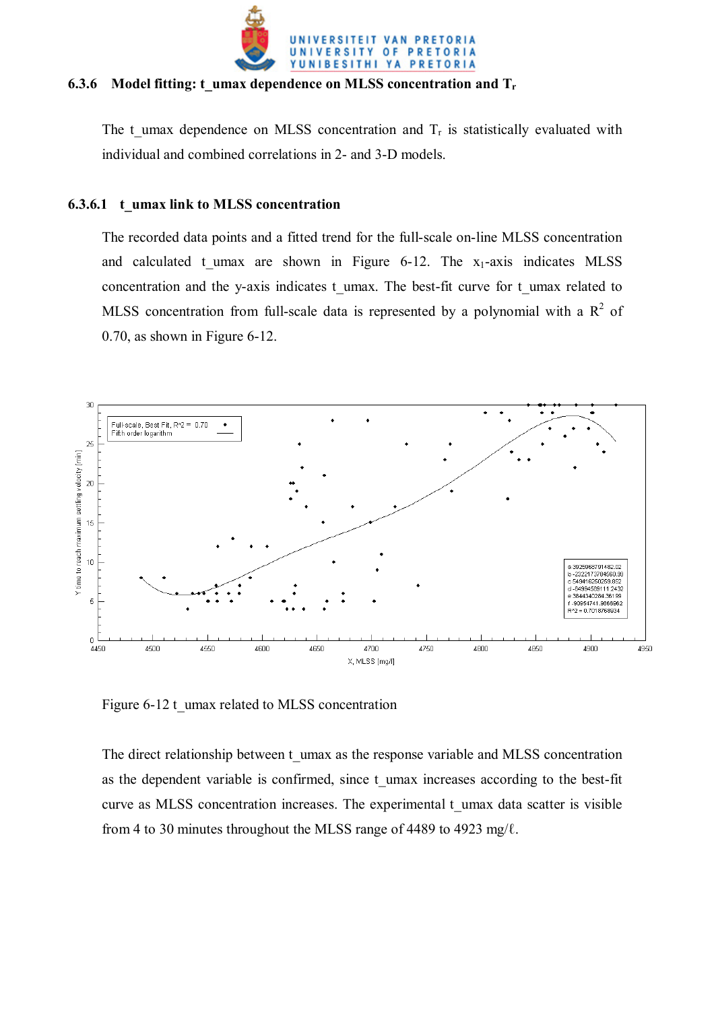

#### **6.3.6 Model fitting: t\_umax dependence on MLSS concentration and Tr**

The t umax dependence on MLSS concentration and  $T_r$  is statistically evaluated with individual and combined correlations in 2- and 3-D models.

#### **6.3.6.1 t\_umax link to MLSS concentration**

The recorded data points and a fitted trend for the full-scale on-line MLSS concentration and calculated t umax are shown in Figure 6-12. The  $x_1$ -axis indicates MLSS concentration and the y-axis indicates t\_umax. The best-fit curve for t\_umax related to MLSS concentration from full-scale data is represented by a polynomial with a  $R^2$  of 0.70, as shown in Figure 6-12.



Figure 6-12 t\_umax related to MLSS concentration

The direct relationship between t\_umax as the response variable and MLSS concentration as the dependent variable is confirmed, since t umax increases according to the best-fit curve as MLSS concentration increases. The experimental t\_umax data scatter is visible from 4 to 30 minutes throughout the MLSS range of 4489 to 4923 mg/ $\ell$ .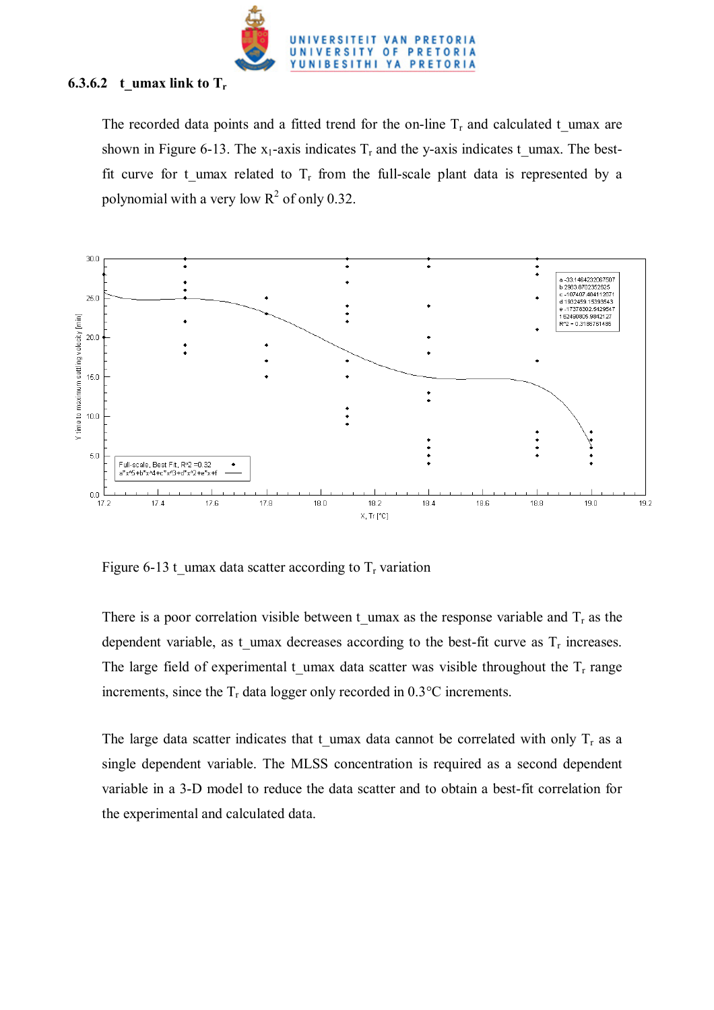

# **6.3.6.2** t\_umax link to  $T_r$

The recorded data points and a fitted trend for the on-line  $T_r$  and calculated t umax are shown in Figure 6-13. The  $x_1$ -axis indicates  $T_r$  and the y-axis indicates t\_umax. The bestfit curve for t umax related to  $T_r$  from the full-scale plant data is represented by a polynomial with a very low  $R^2$  of only 0.32.



Figure 6-13 t umax data scatter according to  $T_r$  variation

There is a poor correlation visible between t umax as the response variable and  $T_r$  as the dependent variable, as t umax decreases according to the best-fit curve as  $T_r$  increases. The large field of experimental t umax data scatter was visible throughout the  $T_r$  range increments, since the  $T_r$  data logger only recorded in 0.3 $\degree$ C increments.

The large data scatter indicates that t\_umax data cannot be correlated with only  $T_r$  as a single dependent variable. The MLSS concentration is required as a second dependent variable in a 3-D model to reduce the data scatter and to obtain a best-fit correlation for the experimental and calculated data.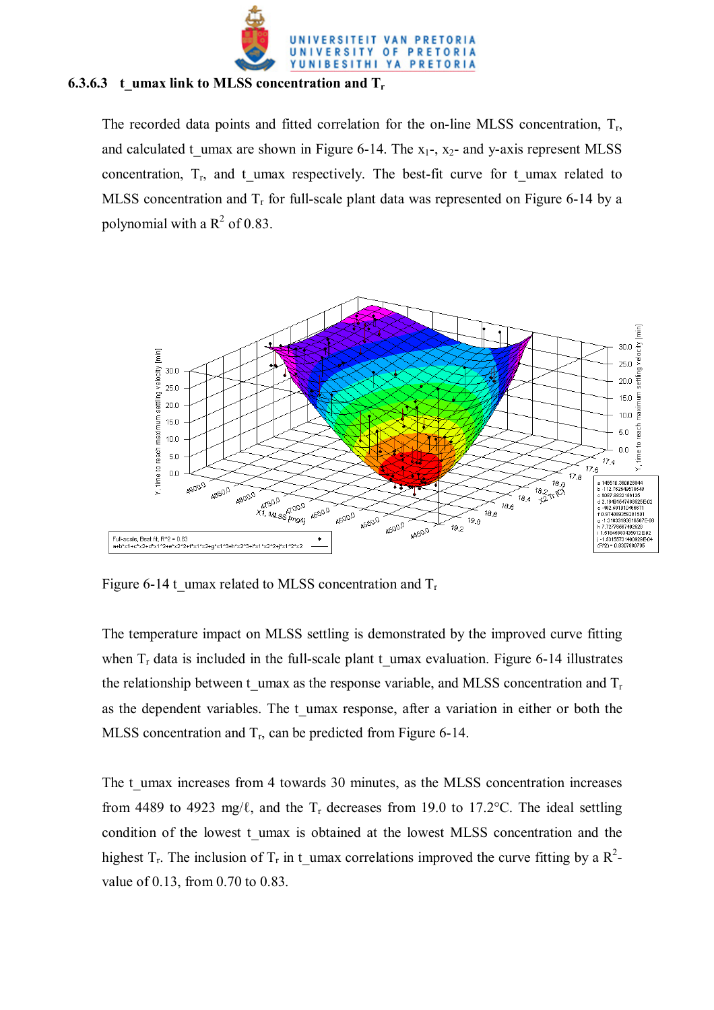

#### **6.3.6.3** t umax link to MLSS concentration and T<sub>r</sub>

The recorded data points and fitted correlation for the on-line MLSS concentration,  $T_r$ , and calculated t umax are shown in Figure 6-14. The  $x_1$ -,  $x_2$ - and y-axis represent MLSS concentration,  $T_r$ , and t umax respectively. The best-fit curve for t umax related to MLSS concentration and  $T_r$  for full-scale plant data was represented on Figure 6-14 by a polynomial with a  $R^2$  of 0.83.



Figure 6-14 t\_umax related to MLSS concentration and  $T_r$ 

The temperature impact on MLSS settling is demonstrated by the improved curve fitting when  $T_r$  data is included in the full-scale plant t\_umax evaluation. Figure 6-14 illustrates the relationship between t umax as the response variable, and MLSS concentration and  $T_r$ as the dependent variables. The t\_umax response, after a variation in either or both the MLSS concentration and  $T_r$ , can be predicted from Figure 6-14.

The t\_umax increases from 4 towards 30 minutes, as the MLSS concentration increases from 4489 to 4923 mg/ $\ell$ , and the T<sub>r</sub> decreases from 19.0 to 17.2°C. The ideal settling condition of the lowest t umax is obtained at the lowest MLSS concentration and the highest  $T_r$ . The inclusion of  $T_r$  in t\_umax correlations improved the curve fitting by a  $R^2$ value of 0.13, from 0.70 to 0.83.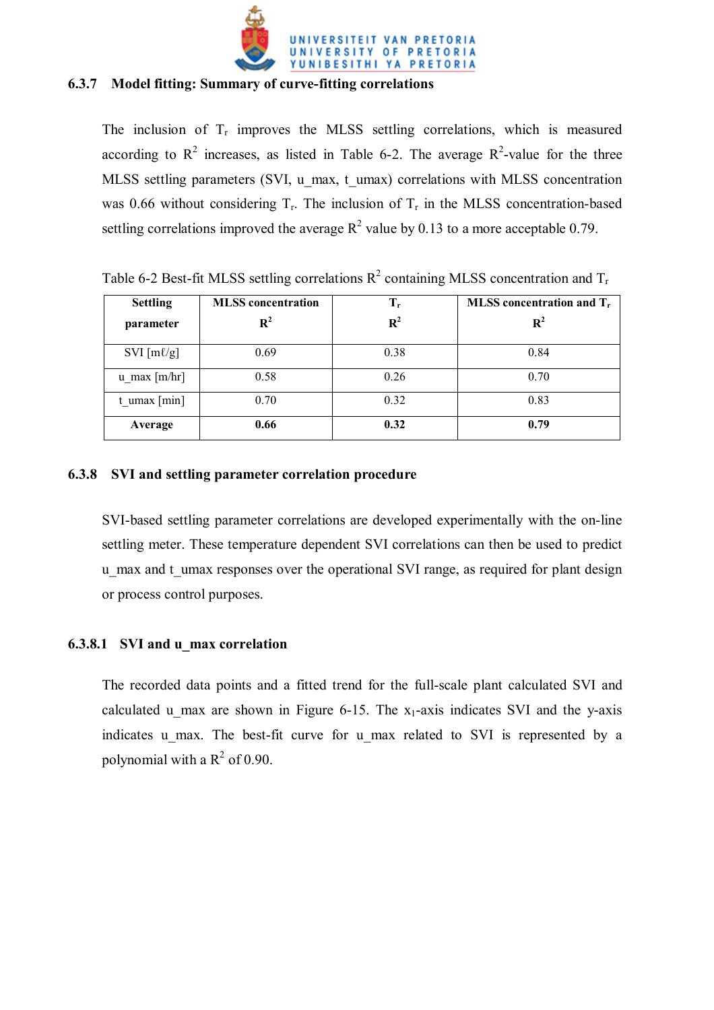

## **6.3.7 Model fitting: Summary of curve-fitting correlations**

The inclusion of  $T_r$  improves the MLSS settling correlations, which is measured according to  $R^2$  increases, as listed in Table 6-2. The average  $R^2$ -value for the three MLSS settling parameters (SVI, u\_max, t\_umax) correlations with MLSS concentration was 0.66 without considering  $T_r$ . The inclusion of  $T_r$  in the MLSS concentration-based settling correlations improved the average  $R^2$  value by 0.13 to a more acceptable 0.79.

| <b>Settling</b>        | <b>MLSS</b> concentration | $T_r$          | MLSS concentration and $T_r$ |
|------------------------|---------------------------|----------------|------------------------------|
| parameter              | $\mathbf{R}^2$            | $\mathbf{R}^2$ | $\mathbf{R}^2$               |
| SVI $[m\ell/g]$        | 0.69                      | 0.38           | 0.84                         |
| $u$ max [m/hr]         | 0.58                      | 0.26           | 0.70                         |
| $t_{\text{max}}$ [min] | 0.70                      | 0.32           | 0.83                         |
| Average                | 0.66                      | 0.32           | 0.79                         |

Table 6-2 Best-fit MLSS settling correlations  $R^2$  containing MLSS concentration and  $T_r$ 

# **6.3.8 SVI and settling parameter correlation procedure**

SVI-based settling parameter correlations are developed experimentally with the on-line settling meter. These temperature dependent SVI correlations can then be used to predict u max and t umax responses over the operational SVI range, as required for plant design or process control purposes.

# **6.3.8.1 SVI and u\_max correlation**

The recorded data points and a fitted trend for the full-scale plant calculated SVI and calculated u max are shown in Figure 6-15. The  $x_1$ -axis indicates SVI and the y-axis indicates u max. The best-fit curve for u max related to SVI is represented by a polynomial with a  $R^2$  of 0.90.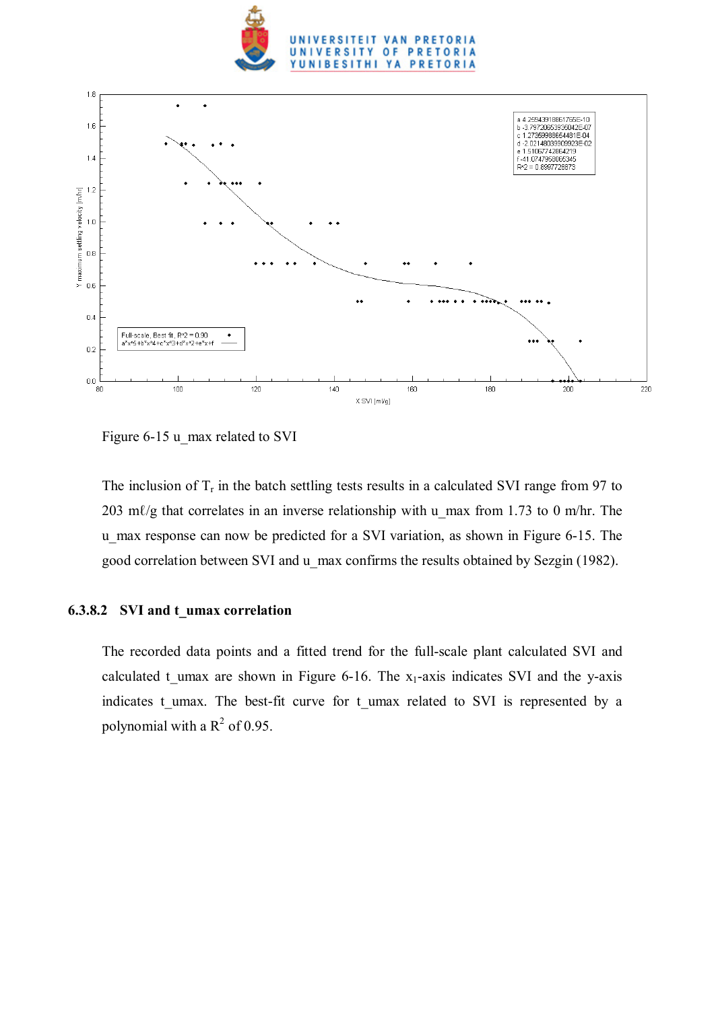



Figure 6-15 u\_max related to SVI

The inclusion of  $T_r$  in the batch settling tests results in a calculated SVI range from 97 to 203 m $\ell$ /g that correlates in an inverse relationship with u\_max from 1.73 to 0 m/hr. The u\_max response can now be predicted for a SVI variation, as shown in Figure 6-15. The good correlation between SVI and u\_max confirms the results obtained by Sezgin (1982).

## **6.3.8.2 SVI and t\_umax correlation**

The recorded data points and a fitted trend for the full-scale plant calculated SVI and calculated t umax are shown in Figure 6-16. The  $x_1$ -axis indicates SVI and the y-axis indicates t umax. The best-fit curve for t umax related to SVI is represented by a polynomial with a  $R^2$  of 0.95.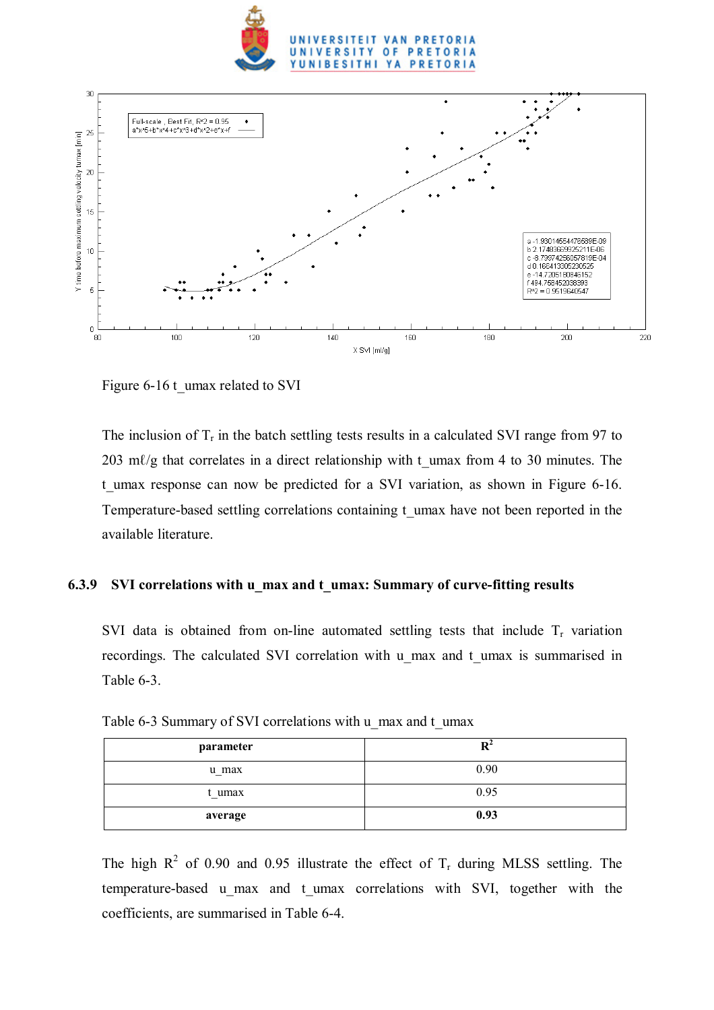



Figure 6-16 t\_umax related to SVI

The inclusion of  $T_r$  in the batch settling tests results in a calculated SVI range from 97 to  $203$  m $\ell$ /g that correlates in a direct relationship with t\_umax from 4 to 30 minutes. The t umax response can now be predicted for a SVI variation, as shown in Figure 6-16. Temperature-based settling correlations containing t\_umax have not been reported in the available literature.

## **6.3.9 SVI correlations with u\_max and t\_umax: Summary of curve-fitting results**

SVI data is obtained from on-line automated settling tests that include  $T_r$  variation recordings. The calculated SVI correlation with u\_max and t\_umax is summarised in Table 6-3.

| parameter |      |
|-----------|------|
| u max     | 0.90 |
| t umax    | 0.95 |
| average   | 0.93 |

Table 6-3 Summary of SVI correlations with u\_max and t\_umax

The high  $R^2$  of 0.90 and 0.95 illustrate the effect of  $T_r$  during MLSS settling. The temperature-based u\_max and t\_umax correlations with SVI, together with the coefficients, are summarised in Table 6-4.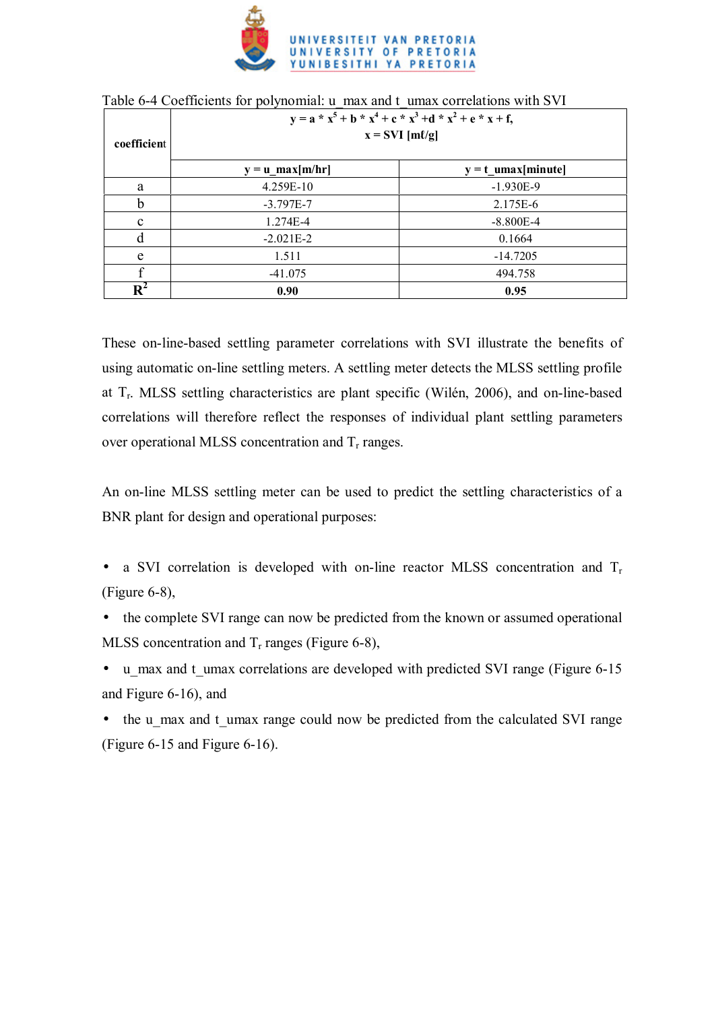

| coefficient    | $y = a * x5 + b * x4 + c * x3 + d * x2 + e * x + f,$<br>$x = SVI$ [ml/g] |                       |  |  |  |
|----------------|--------------------------------------------------------------------------|-----------------------|--|--|--|
|                | $y = u_{max}[m/hr]$                                                      | $y = t$ _umax[minute] |  |  |  |
| a              | 4.259E-10                                                                | $-1.930E-9$           |  |  |  |
| h              | $-3.797E - 7$                                                            | 2.175E-6              |  |  |  |
| c              | 1.274E-4                                                                 | $-8.800E-4$           |  |  |  |
| d              | $-2.021E-2$                                                              | 0.1664                |  |  |  |
| e              | 1.511                                                                    | $-14.7205$            |  |  |  |
|                | $-41.075$                                                                | 494.758               |  |  |  |
| $\mathbf{R}^2$ | 0.90                                                                     | 0.95                  |  |  |  |

| Table 6-4 Coefficients for polynomial: u_max and t_umax correlations with SVI |  |
|-------------------------------------------------------------------------------|--|
|-------------------------------------------------------------------------------|--|

These on-line-based settling parameter correlations with SVI illustrate the benefits of using automatic on-line settling meters. A settling meter detects the MLSS settling profile at Tr. MLSS settling characteristics are plant specific (Wilén, 2006), and on-line-based correlations will therefore reflect the responses of individual plant settling parameters over operational MLSS concentration and  $T_r$  ranges.

An on-line MLSS settling meter can be used to predict the settling characteristics of a BNR plant for design and operational purposes:

- a SVI correlation is developed with on-line reactor MLSS concentration and  $T_r$ (Figure 6-8),
- the complete SVI range can now be predicted from the known or assumed operational MLSS concentration and  $T_r$  ranges (Figure 6-8),
- u\_max and t\_umax correlations are developed with predicted SVI range (Figure 6-15) and Figure 6-16), and
- the u\_max and t\_umax range could now be predicted from the calculated SVI range (Figure 6-15 and Figure 6-16).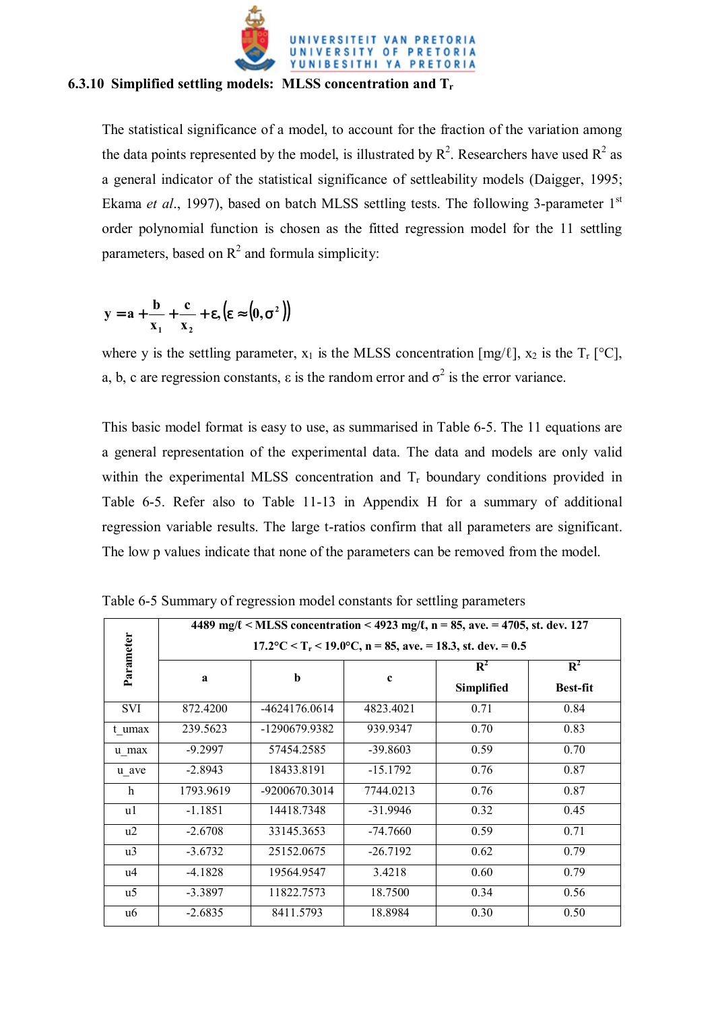

## **6.3.10 Simplified settling models: MLSS concentration and Tr**

The statistical significance of a model, to account for the fraction of the variation among the data points represented by the model, is illustrated by  $\mathbb{R}^2$ . Researchers have used  $\mathbb{R}^2$  as a general indicator of the statistical significance of settleability models (Daigger, 1995; Ekama *et al.*, 1997), based on batch MLSS settling tests. The following 3-parameter 1<sup>st</sup> order polynomial function is chosen as the fitted regression model for the 11 settling parameters, based on  $R^2$  and formula simplicity:

$$
y = a + \frac{b}{x_1} + \frac{c}{x_2} + \epsilon, (\epsilon \approx (0, \sigma^2))
$$

where y is the settling parameter,  $x_1$  is the MLSS concentration  $[mg/\ell]$ ,  $x_2$  is the  $T_r$  [°C], a, b, c are regression constants,  $\varepsilon$  is the random error and  $\sigma^2$  is the error variance.

This basic model format is easy to use, as summarised in Table 6-5. The 11 equations are a general representation of the experimental data. The data and models are only valid within the experimental MLSS concentration and  $T_r$  boundary conditions provided in Table 6-5. Refer also to Table 11-13 in Appendix H for a summary of additional regression variable results. The large t-ratios confirm that all parameters are significant. The low p values indicate that none of the parameters can be removed from the model.

|            | 4489 mg/ $\ell$ < MLSS concentration < 4923 mg/ $\ell$ , n = 85, ave. = 4705, st. dev. 127<br>$17.2$ °C < T <sub>r</sub> < 19.0°C, n = 85, ave. = 18.3, st. dev. = 0.5 |               |             |      |                                   |  |  |  |
|------------|------------------------------------------------------------------------------------------------------------------------------------------------------------------------|---------------|-------------|------|-----------------------------------|--|--|--|
| Parameter  | a                                                                                                                                                                      | b             | $\mathbf c$ |      | $\mathbf{R}^2$<br><b>Best-fit</b> |  |  |  |
| <b>SVI</b> | 872.4200                                                                                                                                                               | -4624176.0614 | 4823.4021   | 0.71 | 0.84                              |  |  |  |
| t umax     | 239.5623                                                                                                                                                               | -1290679.9382 | 939.9347    | 0.70 | 0.83                              |  |  |  |
| u max      | $-9.2997$                                                                                                                                                              | 57454.2585    | $-39.8603$  | 0.59 | 0.70                              |  |  |  |
| u ave      | $-2.8943$                                                                                                                                                              | 18433.8191    | $-15.1792$  | 0.76 | 0.87                              |  |  |  |
| h          | 1793.9619                                                                                                                                                              | -9200670.3014 | 7744.0213   | 0.76 | 0.87                              |  |  |  |
| u1         | $-1.1851$                                                                                                                                                              | 14418.7348    | $-31.9946$  | 0.32 | 0.45                              |  |  |  |
| u2         | $-2.6708$                                                                                                                                                              | 33145.3653    | $-74.7660$  | 0.59 | 0.71                              |  |  |  |
| u3         | $-3.6732$                                                                                                                                                              | 25152.0675    | $-26.7192$  | 0.62 | 0.79                              |  |  |  |
| u4         | $-4.1828$                                                                                                                                                              | 19564.9547    | 3.4218      | 0.60 | 0.79                              |  |  |  |
| u5         | $-3.3897$                                                                                                                                                              | 11822.7573    | 18.7500     | 0.34 | 0.56                              |  |  |  |
| u6         | $-2.6835$                                                                                                                                                              | 8411.5793     | 18.8984     | 0.30 | 0.50                              |  |  |  |

Table 6-5 Summary of regression model constants for settling parameters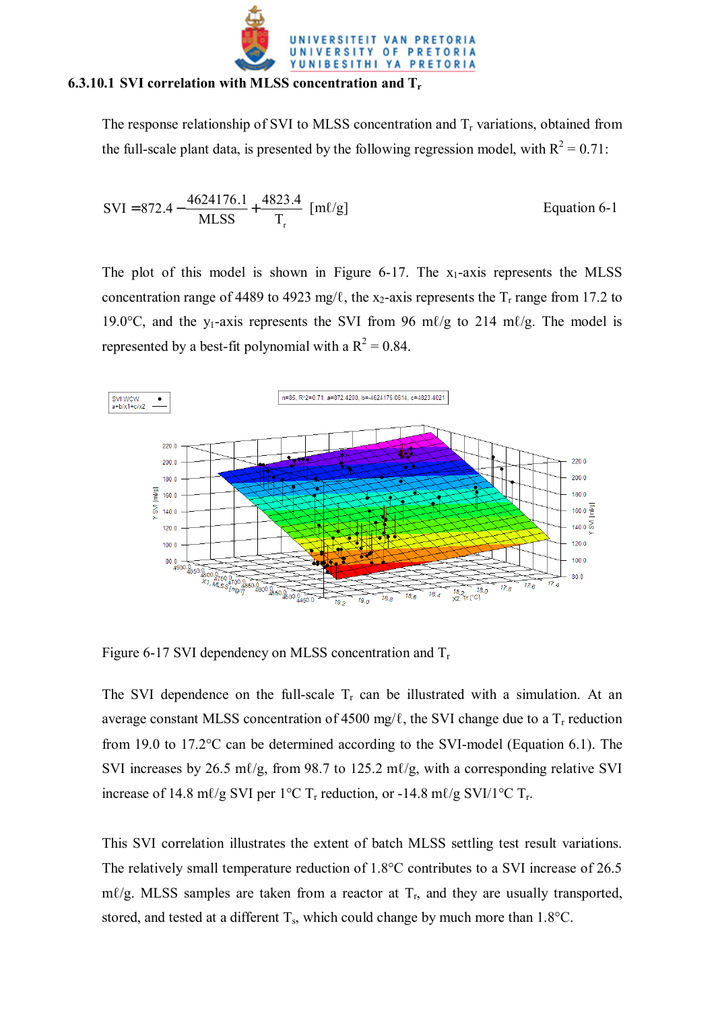

#### **6.3.10.1 SVI correlation with MLSS concentration and Tr**

The response relationship of SVI to MLSS concentration and  $T_r$  variations, obtained from the full-scale plant data, is presented by the following regression model, with  $R^2 = 0.71$ :

$$
SVI = 872.4 - \frac{4624176.1}{MLSS} + \frac{4823.4}{T_r} [m\ell/g]
$$
 Equation 6-1

The plot of this model is shown in Figure  $6-17$ . The  $x_1$ -axis represents the MLSS concentration range of 4489 to 4923 mg/ $\ell$ , the x<sub>2</sub>-axis represents the T<sub>r</sub> range from 17.2 to 19.0°C, and the y<sub>1</sub>-axis represents the SVI from 96 m $\ell$ /g to 214 m $\ell$ /g. The model is represented by a best-fit polynomial with a  $R^2 = 0.84$ .



Figure 6-17 SVI dependency on MLSS concentration and  $T_r$ 

The SVI dependence on the full-scale  $T_r$  can be illustrated with a simulation. At an average constant MLSS concentration of 4500 mg/ $\ell$ , the SVI change due to a  $T_r$  reduction from 19.0 to 17.2°C can be determined according to the SVI-model (Equation 6.1). The SVI increases by 26.5 m $\ell$ /g, from 98.7 to 125.2 m $\ell$ /g, with a corresponding relative SVI increase of 14.8 m $\ell$ /g SVI per 1°C T<sub>r</sub> reduction, or -14.8 m $\ell$ /g SVI/1°C T<sub>r</sub>.

This SVI correlation illustrates the extent of batch MLSS settling test result variations. The relatively small temperature reduction of 1.8°C contributes to a SVI increase of 26.5 m $\ell$ /g. MLSS samples are taken from a reactor at  $T_r$ , and they are usually transported, stored, and tested at a different  $T_s$ , which could change by much more than 1.8°C.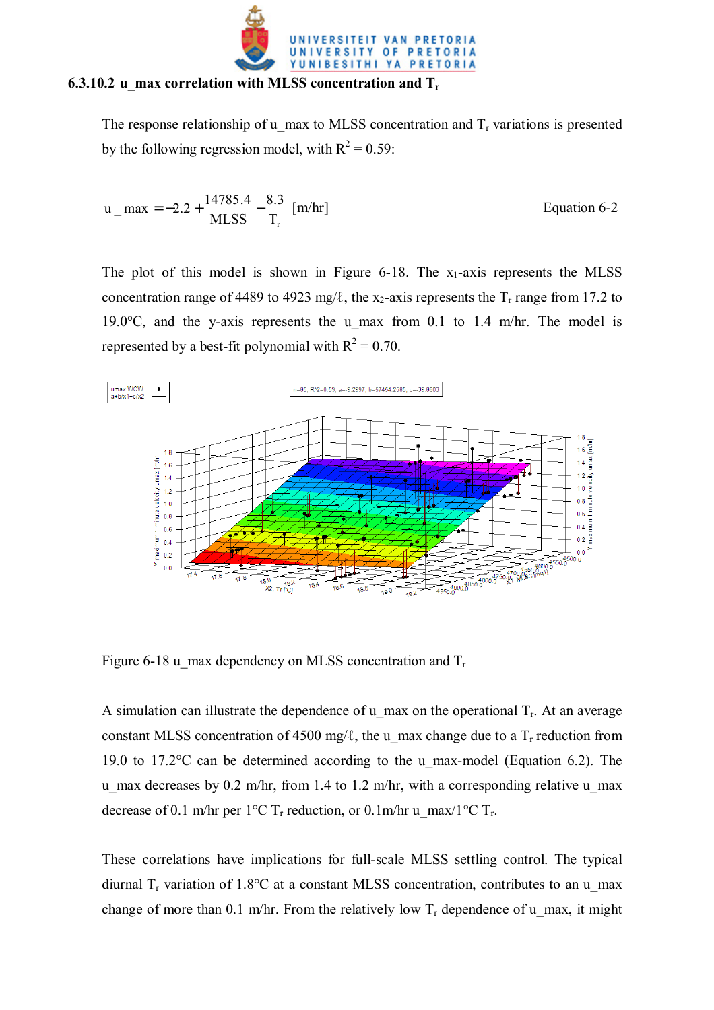

#### **6.3.10.2 u\_max correlation with MLSS concentration and Tr**

The response relationship of u\_max to MLSS concentration and  $T_r$  variations is presented by the following regression model, with  $R^2 = 0.59$ :

$$
u_{\text{max}} = -2.2 + \frac{14785.4}{\text{MLSS}} - \frac{8.3}{T_r} \text{ [m/hr]}
$$
Equation 6-2

The plot of this model is shown in Figure  $6-18$ . The  $x_1$ -axis represents the MLSS concentration range of 4489 to 4923 mg/ $\ell$ , the x<sub>2</sub>-axis represents the T<sub>r</sub> range from 17.2 to 19.0 $\degree$ C, and the y-axis represents the u max from 0.1 to 1.4 m/hr. The model is represented by a best-fit polynomial with  $R^2 = 0.70$ .



Figure 6-18 u max dependency on MLSS concentration and  $T_r$ 

A simulation can illustrate the dependence of u\_max on the operational  $T_r$ . At an average constant MLSS concentration of 4500 mg/ $\ell$ , the u\_max change due to a T<sub>r</sub> reduction from 19.0 to 17.2°C can be determined according to the u\_max-model (Equation 6.2). The u max decreases by 0.2 m/hr, from 1.4 to 1.2 m/hr, with a corresponding relative u max decrease of 0.1 m/hr per 1°C T<sub>r</sub> reduction, or 0.1m/hr u\_max/1°C T<sub>r</sub>.

These correlations have implications for full-scale MLSS settling control. The typical diurnal  $T_r$  variation of 1.8°C at a constant MLSS concentration, contributes to an u\_max change of more than 0.1 m/hr. From the relatively low  $T_r$  dependence of u\_max, it might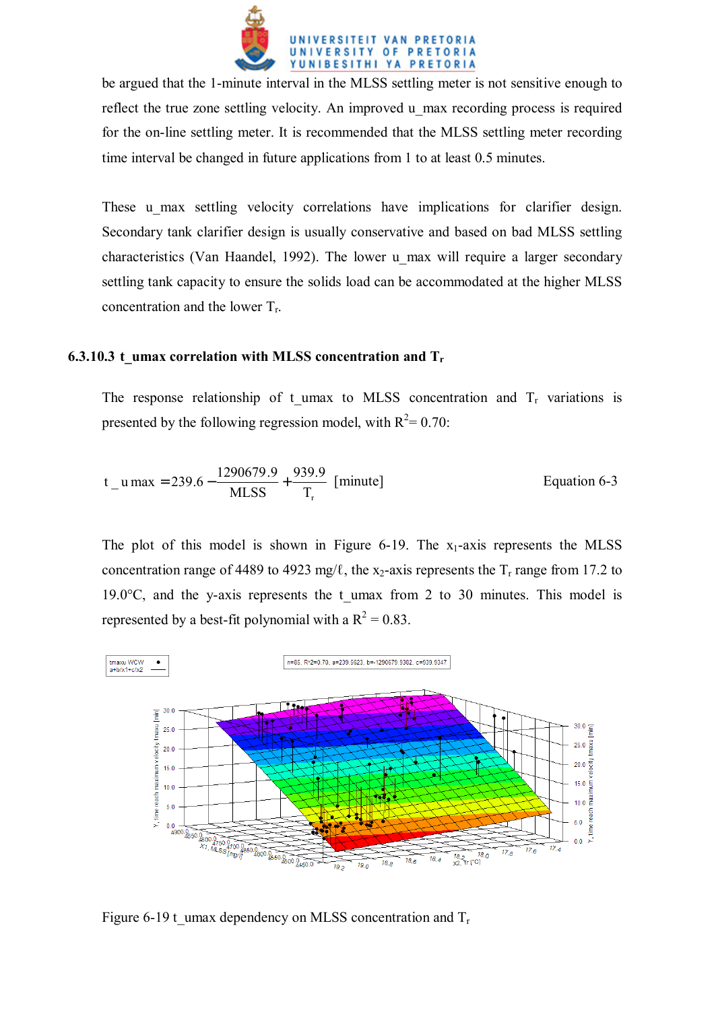

be argued that the 1-minute interval in the MLSS settling meter is not sensitive enough to reflect the true zone settling velocity. An improved u max recording process is required for the on-line settling meter. It is recommended that the MLSS settling meter recording time interval be changed in future applications from 1 to at least 0.5 minutes.

These u max settling velocity correlations have implications for clarifier design. Secondary tank clarifier design is usually conservative and based on bad MLSS settling characteristics (Van Haandel, 1992). The lower u\_max will require a larger secondary settling tank capacity to ensure the solids load can be accommodated at the higher MLSS concentration and the lower  $T_r$ .

### **6.3.10.3 t\_umax correlation with MLSS concentration and T<sub>r</sub>**

The response relationship of t umax to MLSS concentration and  $T_r$  variations is presented by the following regression model, with  $R^2 = 0.70$ :

$$
t_{u} = 239.6 - \frac{1290679.9}{MLSS} + \frac{939.9}{T_r}
$$
 [minute]   
Equation 6-3

The plot of this model is shown in Figure 6-19. The  $x_1$ -axis represents the MLSS concentration range of 4489 to 4923 mg/ $\ell$ , the x<sub>2</sub>-axis represents the T<sub>r</sub> range from 17.2 to 19.0 $\degree$ C, and the y-axis represents the t umax from 2 to 30 minutes. This model is represented by a best-fit polynomial with a  $R^2 = 0.83$ .



Figure 6-19 t umax dependency on MLSS concentration and  $T_r$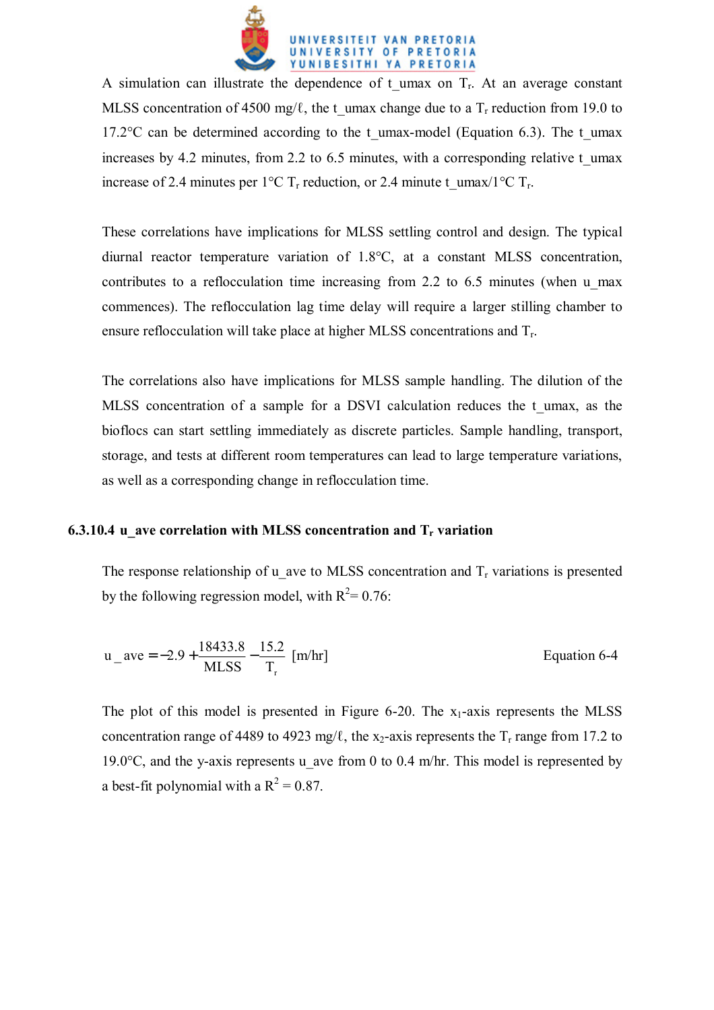

A simulation can illustrate the dependence of t umax on  $T_r$ . At an average constant MLSS concentration of 4500 mg/ $\ell$ , the t\_umax change due to a T<sub>r</sub> reduction from 19.0 to 17.2 $\degree$ C can be determined according to the t\_umax-model (Equation 6.3). The t\_umax increases by 4.2 minutes, from 2.2 to 6.5 minutes, with a corresponding relative t\_umax increase of 2.4 minutes per 1°C T<sub>r</sub> reduction, or 2.4 minute t\_umax/1°C T<sub>r</sub>.

These correlations have implications for MLSS settling control and design. The typical diurnal reactor temperature variation of 1.8°C, at a constant MLSS concentration, contributes to a reflocculation time increasing from 2.2 to 6.5 minutes (when u\_max commences). The reflocculation lag time delay will require a larger stilling chamber to ensure reflocculation will take place at higher MLSS concentrations and  $T_r$ .

The correlations also have implications for MLSS sample handling. The dilution of the MLSS concentration of a sample for a DSVI calculation reduces the t umax, as the bioflocs can start settling immediately as discrete particles. Sample handling, transport, storage, and tests at different room temperatures can lead to large temperature variations, as well as a corresponding change in reflocculation time.

### **6.3.10.4 u** ave correlation with MLSS concentration and T<sub>r</sub> variation

The response relationship of u ave to MLSS concentration and  $T_r$  variations is presented by the following regression model, with  $R^2 = 0.76$ :

$$
u_{\text{ave}} = -2.9 + \frac{18433.8}{\text{MLSS}} - \frac{15.2}{T_r} \text{ [m/hr]}
$$
Equation 6-4

The plot of this model is presented in Figure 6-20. The  $x_1$ -axis represents the MLSS concentration range of 4489 to 4923 mg/ $\ell$ , the x<sub>2</sub>-axis represents the T<sub>r</sub> range from 17.2 to 19.0°C, and the y-axis represents u ave from 0 to 0.4 m/hr. This model is represented by a best-fit polynomial with a  $R^2 = 0.87$ .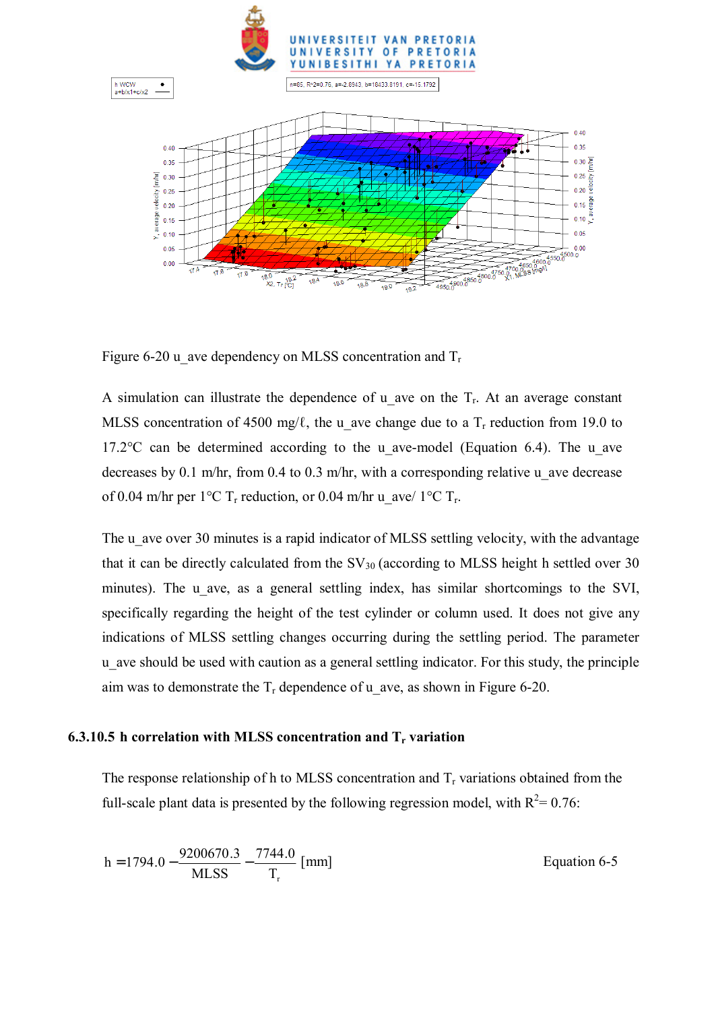

Figure 6-20 u ave dependency on MLSS concentration and  $T_r$ 

A simulation can illustrate the dependence of u ave on the  $T_r$ . At an average constant MLSS concentration of 4500 mg/ $\ell$ , the u ave change due to a T<sub>r</sub> reduction from 19.0 to 17.2 $\degree$ C can be determined according to the u ave-model (Equation 6.4). The u ave decreases by 0.1 m/hr, from 0.4 to 0.3 m/hr, with a corresponding relative u ave decrease of 0.04 m/hr per 1°C T<sub>r</sub> reduction, or 0.04 m/hr u\_ave/ 1°C T<sub>r</sub>.

The u ave over 30 minutes is a rapid indicator of MLSS settling velocity, with the advantage that it can be directly calculated from the  $SV_{30}$  (according to MLSS height h settled over 30 minutes). The u ave, as a general settling index, has similar shortcomings to the SVI, specifically regarding the height of the test cylinder or column used. It does not give any indications of MLSS settling changes occurring during the settling period. The parameter u\_ave should be used with caution as a general settling indicator. For this study, the principle aim was to demonstrate the  $T_r$  dependence of u ave, as shown in Figure 6-20.

#### **6.3.10.5 h correlation with MLSS concentration and T<sub>r</sub> variation**

The response relationship of h to MLSS concentration and  $T_r$  variations obtained from the full-scale plant data is presented by the following regression model, with  $R^2 = 0.76$ :

$$
h = 1794.0 - \frac{9200670.3}{MLSS} - \frac{7744.0}{T_r}
$$
[mm]   
Equation 6-5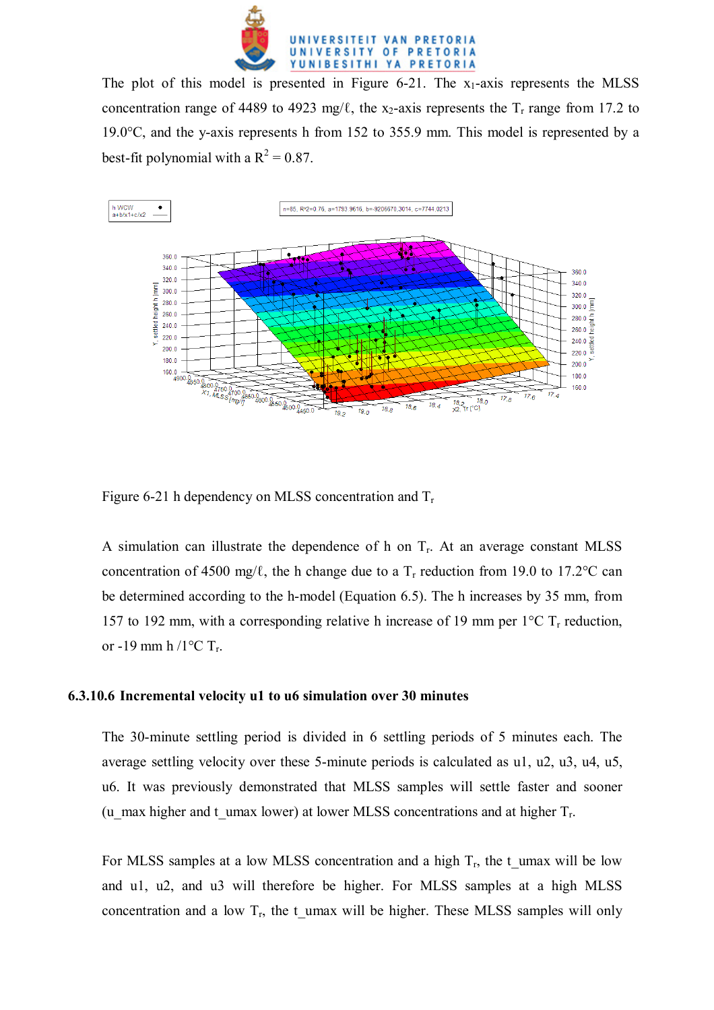

The plot of this model is presented in Figure  $6-21$ . The  $x_1$ -axis represents the MLSS concentration range of 4489 to 4923 mg/ $\ell$ , the x<sub>2</sub>-axis represents the T<sub>r</sub> range from 17.2 to 19.0°C, and the y-axis represents h from 152 to 355.9 mm. This model is represented by a best-fit polynomial with a  $R^2 = 0.87$ .



Figure 6-21 h dependency on MLSS concentration and  $T_r$ 

A simulation can illustrate the dependence of h on  $T_r$ . At an average constant MLSS concentration of 4500 mg/ $\ell$ , the h change due to a T<sub>r</sub> reduction from 19.0 to 17.2°C can be determined according to the h-model (Equation 6.5). The h increases by 35 mm, from 157 to 192 mm, with a corresponding relative h increase of 19 mm per  $1^{\circ}$ C T<sub>r</sub> reduction, or -19 mm h /1 $\rm{°C}$  T<sub>r</sub>.

#### **6.3.10.6 Incremental velocity u1 to u6 simulation over 30 minutes**

The 30-minute settling period is divided in 6 settling periods of 5 minutes each. The average settling velocity over these 5-minute periods is calculated as u1, u2, u3, u4, u5, u6. It was previously demonstrated that MLSS samples will settle faster and sooner (u\_max higher and t\_umax lower) at lower MLSS concentrations and at higher  $T_r$ .

For MLSS samples at a low MLSS concentration and a high  $T_r$ , the t\_umax will be low and u1, u2, and u3 will therefore be higher. For MLSS samples at a high MLSS concentration and a low  $T_r$ , the t umax will be higher. These MLSS samples will only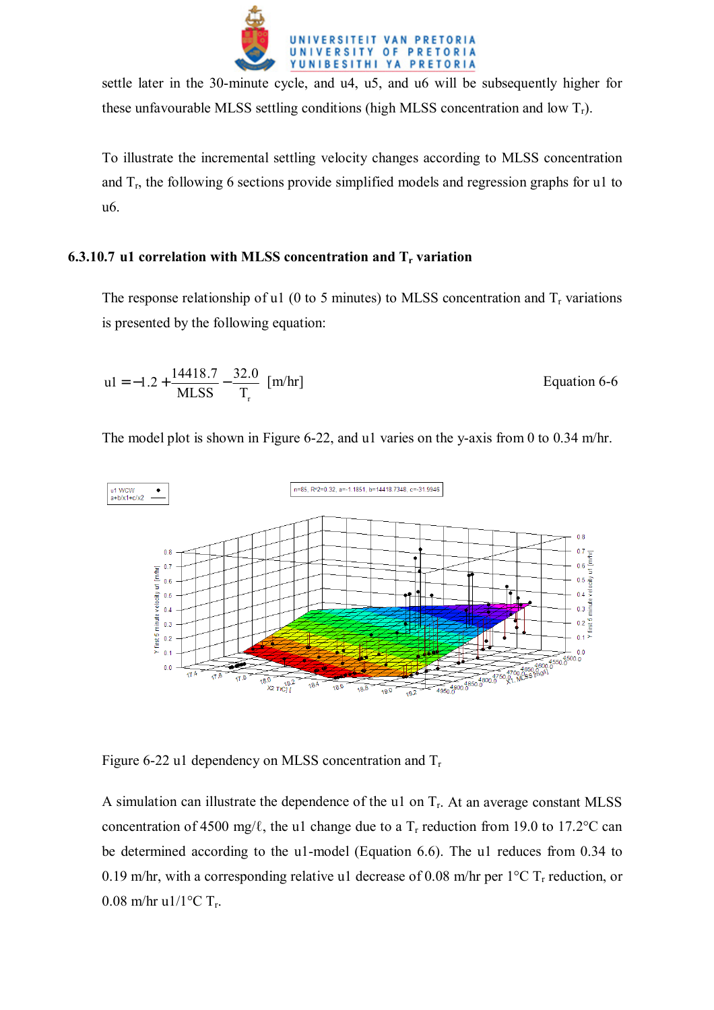

settle later in the 30-minute cycle, and u4, u5, and u6 will be subsequently higher for these unfavourable MLSS settling conditions (high MLSS concentration and low  $T_r$ ).

To illustrate the incremental settling velocity changes according to MLSS concentration and  $T_r$ , the following 6 sections provide simplified models and regression graphs for u1 to u6.

## **6.3.10.7 u1 correlation with MLSS concentration and T<sub>r</sub> variation**

The response relationship of u1 (0 to 5 minutes) to MLSS concentration and  $T_r$  variations is presented by the following equation:

$$
u1 = -1.2 + \frac{14418.7}{MLSS} - \frac{32.0}{T_r} [m/hr]
$$
Equation 6-6

The model plot is shown in Figure 6-22, and u1 varies on the y-axis from 0 to 0.34 m/hr.



Figure 6-22 u1 dependency on MLSS concentration and  $T_r$ 

A simulation can illustrate the dependence of the u1 on  $T_r$ . At an average constant MLSS concentration of 4500 mg/ $\ell$ , the u1 change due to a T<sub>r</sub> reduction from 19.0 to 17.2°C can be determined according to the u1-model (Equation 6.6). The u1 reduces from 0.34 to 0.19 m/hr, with a corresponding relative u1 decrease of 0.08 m/hr per  $1^{\circ}$ C T<sub>r</sub> reduction, or 0.08 m/hr u1/1 $^{\circ}$ C T<sub>r</sub>.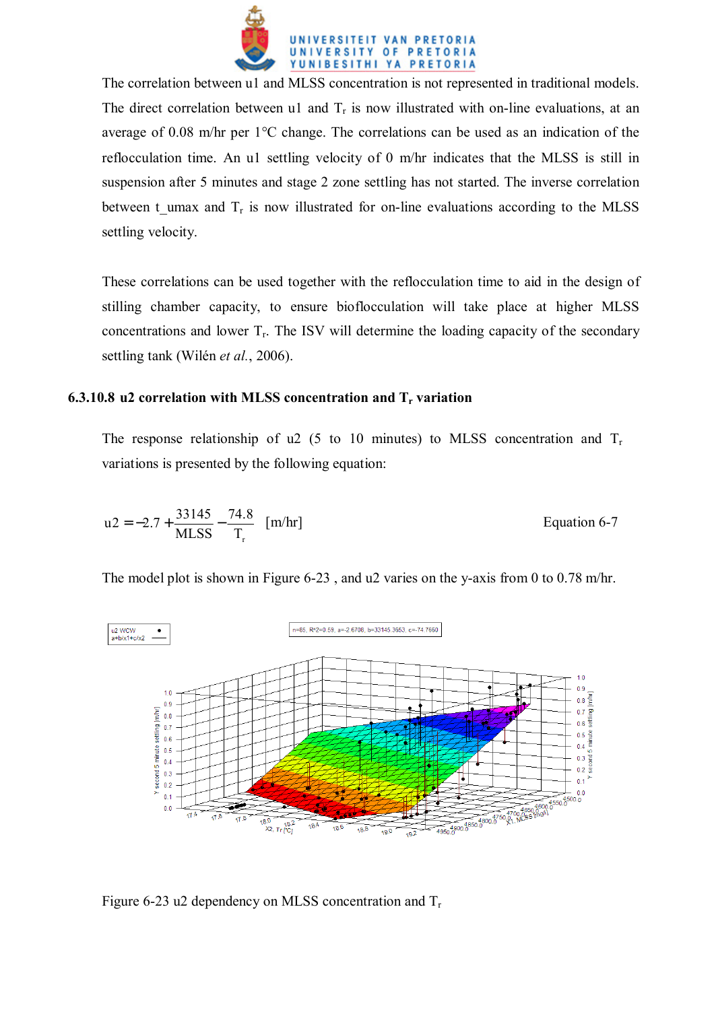

The correlation between u1 and MLSS concentration is not represented in traditional models. The direct correlation between u1 and  $T_r$  is now illustrated with on-line evaluations, at an average of 0.08 m/hr per 1°C change. The correlations can be used as an indication of the reflocculation time. An u1 settling velocity of 0 m/hr indicates that the MLSS is still in suspension after 5 minutes and stage 2 zone settling has not started. The inverse correlation between t umax and  $T_r$  is now illustrated for on-line evaluations according to the MLSS settling velocity.

These correlations can be used together with the reflocculation time to aid in the design of stilling chamber capacity, to ensure bioflocculation will take place at higher MLSS concentrations and lower  $T_r$ . The ISV will determine the loading capacity of the secondary settling tank (Wilén *et al.*, 2006).

# **6.3.10.8 u2 correlation with MLSS concentration and T<sub>r</sub> variation**

The response relationship of u2 (5 to 10 minutes) to MLSS concentration and  $T_r$ variations is presented by the following equation:

$$
u2 = -2.7 + \frac{33145}{MLSS} - \frac{74.8}{T_r}
$$
 [m/hr]   
Equation 6-7

The model plot is shown in Figure 6-23 , and u2 varies on the y-axis from 0 to 0.78 m/hr.



Figure 6-23 u2 dependency on MLSS concentration and  $T_r$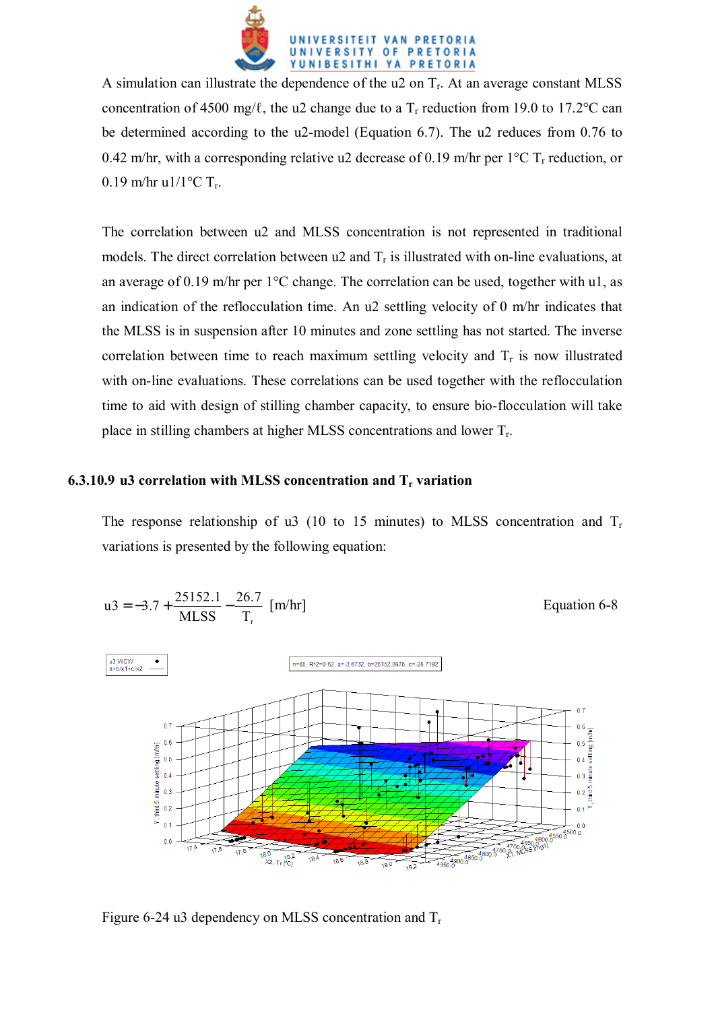

A simulation can illustrate the dependence of the  $u2$  on  $T_r$ . At an average constant MLSS concentration of 4500 mg/ $\ell$ , the u2 change due to a T<sub>r</sub> reduction from 19.0 to 17.2°C can be determined according to the u2-model (Equation 6.7). The u2 reduces from 0.76 to 0.42 m/hr, with a corresponding relative u2 decrease of 0.19 m/hr per  $1^{\circ}$ C T<sub>r</sub> reduction, or 0.19 m/hr u1/1 $^{\circ}$ C T<sub>r</sub>.

The correlation between u2 and MLSS concentration is not represented in traditional models. The direct correlation between  $u^2$  and  $T_r$  is illustrated with on-line evaluations, at an average of 0.19 m/hr per  $1^{\circ}$ C change. The correlation can be used, together with u1, as an indication of the reflocculation time. An u2 settling velocity of 0 m/hr indicates that the MLSS is in suspension after 10 minutes and zone settling has not started. The inverse correlation between time to reach maximum settling velocity and  $T_r$  is now illustrated with on-line evaluations. These correlations can be used together with the reflocculation time to aid with design of stilling chamber capacity, to ensure bio-flocculation will take place in stilling chambers at higher MLSS concentrations and lower Tr.

#### **6.3.10.9 u3 correlation with MLSS concentration and T<sub>r</sub> variation**

The response relationship of u3 (10 to 15 minutes) to MLSS concentration and  $T_r$ variations is presented by the following equation:



Figure 6-24 u3 dependency on MLSS concentration and  $T_r$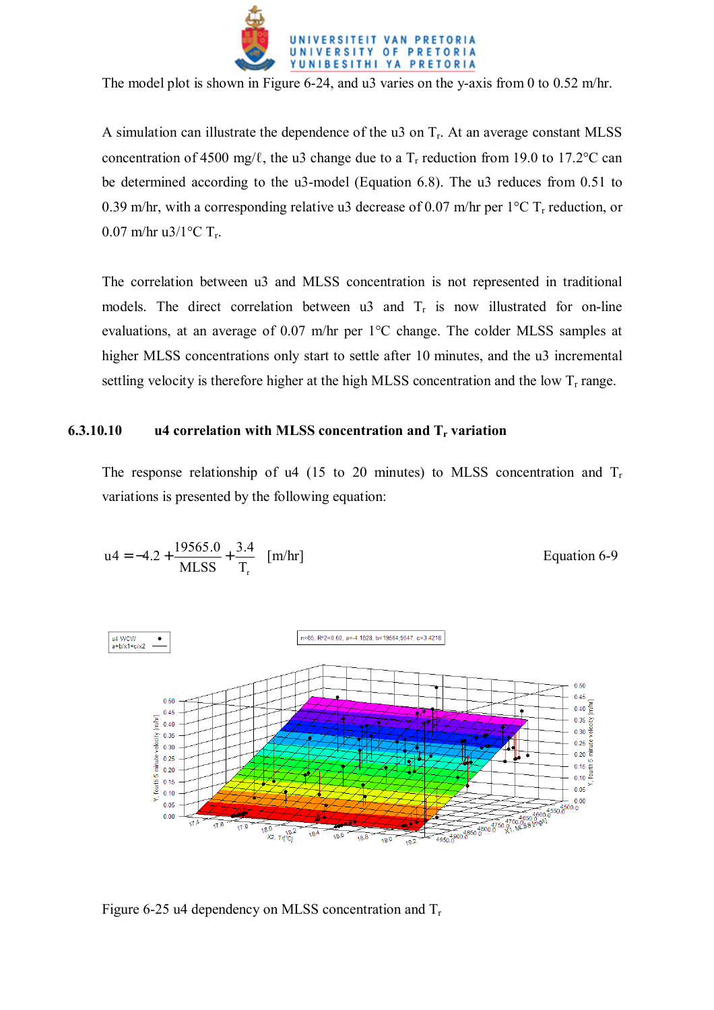

The model plot is shown in Figure 6-24, and u3 varies on the y-axis from 0 to 0.52 m/hr.

A simulation can illustrate the dependence of the u3 on  $T_r$ . At an average constant MLSS concentration of 4500 mg/ $\ell$ , the u3 change due to a T<sub>r</sub> reduction from 19.0 to 17.2°C can be determined according to the u3-model (Equation 6.8). The u3 reduces from 0.51 to 0.39 m/hr, with a corresponding relative u3 decrease of 0.07 m/hr per  $1^{\circ}$ C T<sub>r</sub> reduction, or 0.07 m/hr u3/1 $^{\circ}$ C T<sub>r</sub>.

The correlation between u3 and MLSS concentration is not represented in traditional models. The direct correlation between u3 and  $T_r$  is now illustrated for on-line evaluations, at an average of 0.07 m/hr per 1°C change. The colder MLSS samples at higher MLSS concentrations only start to settle after 10 minutes, and the u3 incremental settling velocity is therefore higher at the high MLSS concentration and the low  $T_r$  range.

### **6.3.10.10 u4 correlation with MLSS concentration and Tr variation**

The response relationship of u4 (15 to 20 minutes) to MLSS concentration and  $T_r$ variations is presented by the following equation:

$$
u4 = -4.2 + \frac{19565.0}{MLSS} + \frac{3.4}{T_r}
$$
 [m/hr]   
Equation 6-9



Figure 6-25 u4 dependency on MLSS concentration and  $T_r$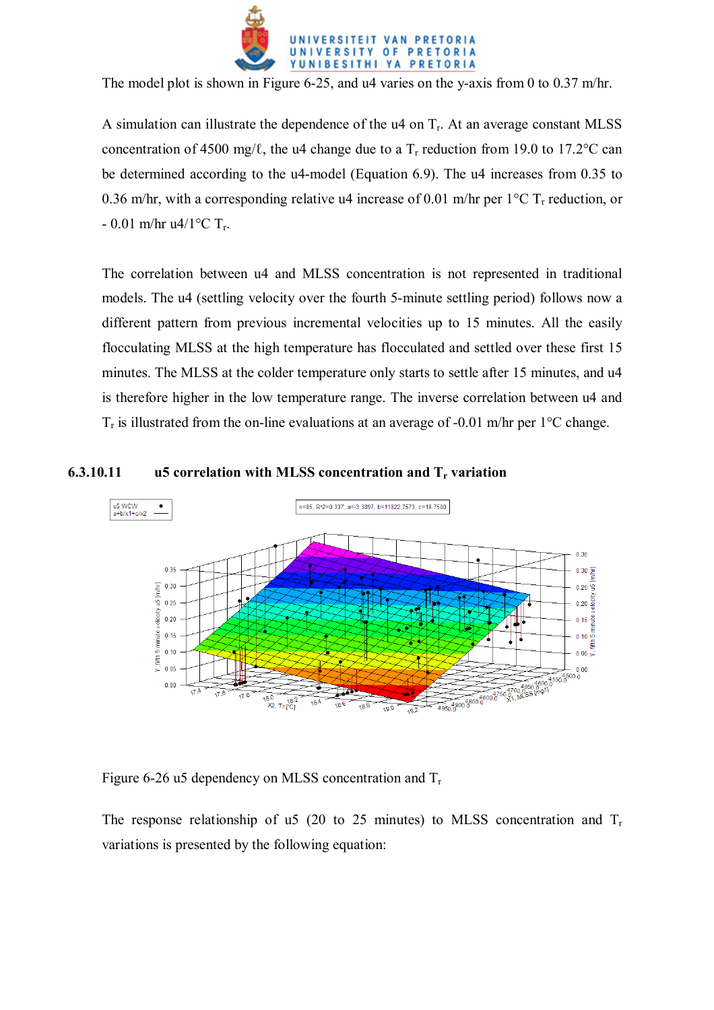

The model plot is shown in Figure 6-25, and u4 varies on the y-axis from 0 to 0.37 m/hr.

A simulation can illustrate the dependence of the  $u_4$  on  $T_r$ . At an average constant MLSS concentration of 4500 mg/ $\ell$ , the u4 change due to a T<sub>r</sub> reduction from 19.0 to 17.2°C can be determined according to the u4-model (Equation 6.9). The u4 increases from 0.35 to 0.36 m/hr, with a corresponding relative u4 increase of 0.01 m/hr per  $1^{\circ}$ C T<sub>r</sub> reduction, or  $- 0.01$  m/hr u4/1°C T<sub>r</sub>.

The correlation between u4 and MLSS concentration is not represented in traditional models. The u4 (settling velocity over the fourth 5-minute settling period) follows now a different pattern from previous incremental velocities up to 15 minutes. All the easily flocculating MLSS at the high temperature has flocculated and settled over these first 15 minutes. The MLSS at the colder temperature only starts to settle after 15 minutes, and u4 is therefore higher in the low temperature range. The inverse correlation between u4 and  $T_r$  is illustrated from the on-line evaluations at an average of -0.01 m/hr per 1<sup>o</sup>C change.

### **6.3.10.11 u5 correlation with MLSS concentration and Tr variation**



Figure 6-26 u5 dependency on MLSS concentration and  $T_r$ 

The response relationship of u5 (20 to 25 minutes) to MLSS concentration and  $T_r$ variations is presented by the following equation: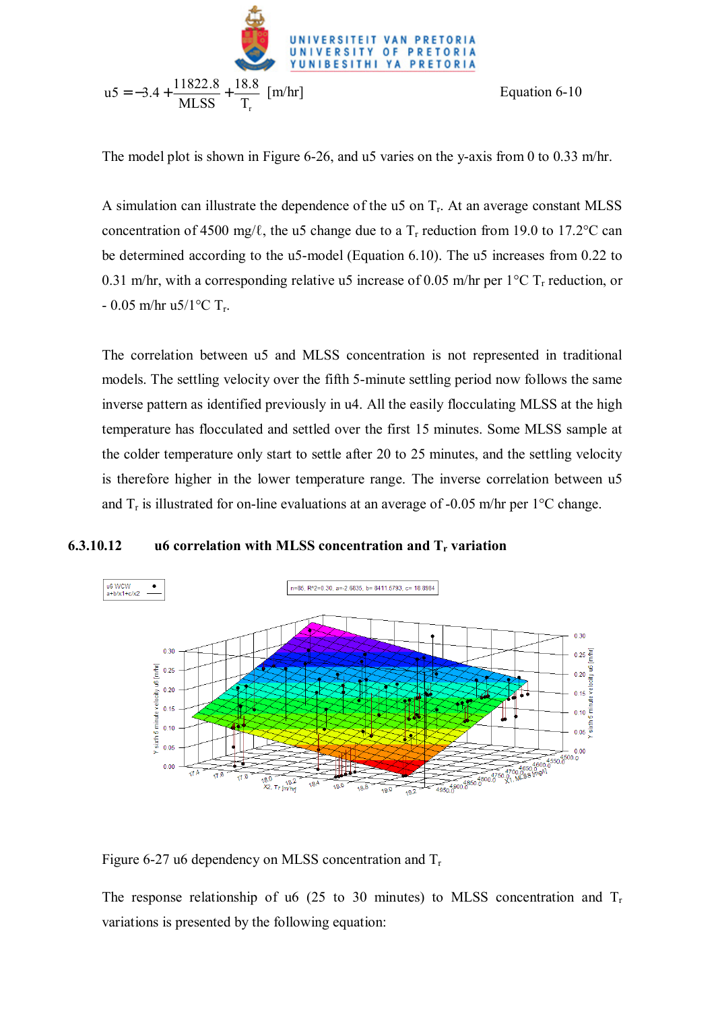

The model plot is shown in Figure 6-26, and u5 varies on the y-axis from 0 to 0.33 m/hr.

A simulation can illustrate the dependence of the u5 on  $T<sub>r</sub>$ . At an average constant MLSS concentration of 4500 mg/ $\ell$ , the u5 change due to a T<sub>r</sub> reduction from 19.0 to 17.2°C can be determined according to the u5-model (Equation 6.10). The u5 increases from 0.22 to 0.31 m/hr, with a corresponding relative u5 increase of 0.05 m/hr per  $1^{\circ}$ C T<sub>r</sub> reduction, or - 0.05 m/hr u5/1 $\rm ^{o}C$  T<sub>r</sub>.

The correlation between u5 and MLSS concentration is not represented in traditional models. The settling velocity over the fifth 5-minute settling period now follows the same inverse pattern as identified previously in u4. All the easily flocculating MLSS at the high temperature has flocculated and settled over the first 15 minutes. Some MLSS sample at the colder temperature only start to settle after 20 to 25 minutes, and the settling velocity is therefore higher in the lower temperature range. The inverse correlation between u5 and  $T_r$  is illustrated for on-line evaluations at an average of -0.05 m/hr per 1<sup>o</sup>C change.

# **6.3.10.12 u6 correlation with MLSS concentration and T<sub>r</sub> variation**



Figure 6-27 u6 dependency on MLSS concentration and  $T_r$ 

The response relationship of u6 (25 to 30 minutes) to MLSS concentration and  $T_r$ variations is presented by the following equation: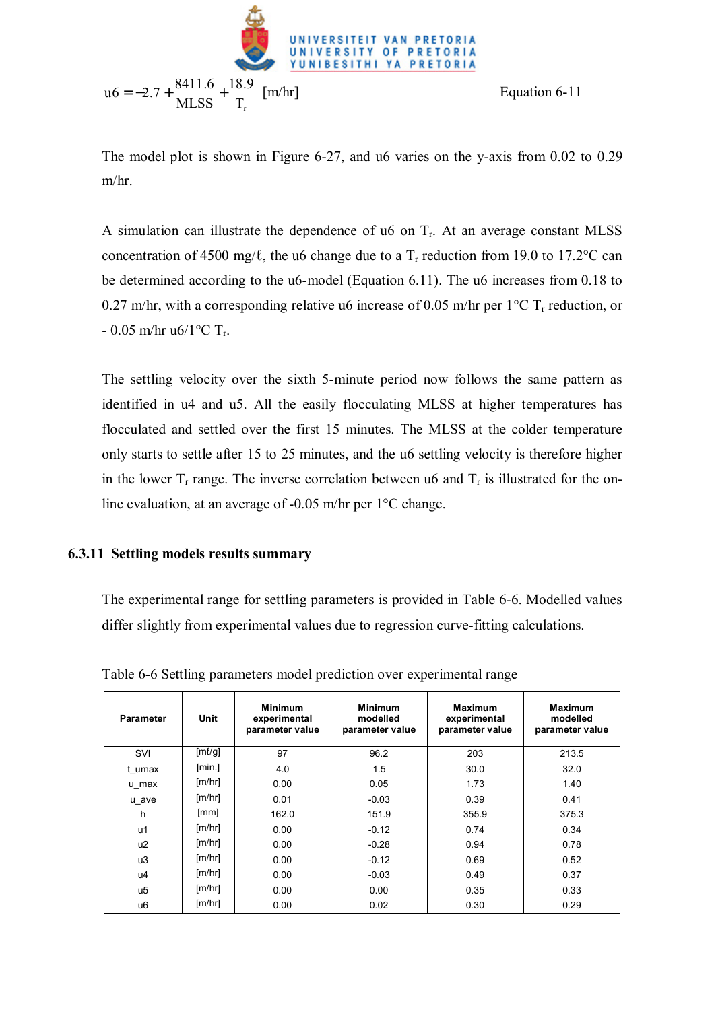

The model plot is shown in Figure 6-27, and u6 varies on the y-axis from 0.02 to 0.29 m/hr.

A simulation can illustrate the dependence of u6 on  $T_r$ . At an average constant MLSS concentration of 4500 mg/ $\ell$ , the u6 change due to a T<sub>r</sub> reduction from 19.0 to 17.2°C can be determined according to the u6-model (Equation 6.11). The u6 increases from 0.18 to 0.27 m/hr, with a corresponding relative u6 increase of 0.05 m/hr per  $1^{\circ}$ C T<sub>r</sub> reduction, or  $- 0.05$  m/hr u6/1 $\rm ^{o}C$  T<sub>r</sub>.

The settling velocity over the sixth 5-minute period now follows the same pattern as identified in u4 and u5. All the easily flocculating MLSS at higher temperatures has flocculated and settled over the first 15 minutes. The MLSS at the colder temperature only starts to settle after 15 to 25 minutes, and the u6 settling velocity is therefore higher in the lower  $T_r$  range. The inverse correlation between u6 and  $T_r$  is illustrated for the online evaluation, at an average of -0.05 m/hr per 1°C change.

# **6.3.11 Settling models results summary**

The experimental range for settling parameters is provided in Table 6-6. Modelled values differ slightly from experimental values due to regression curve-fitting calculations.

| <b>Parameter</b> | Unit   | <b>Minimum</b><br>experimental<br>parameter value | <b>Minimum</b><br>modelled<br>parameter value | <b>Maximum</b><br>experimental<br>parameter value | <b>Maximum</b><br>modelled<br>parameter value |
|------------------|--------|---------------------------------------------------|-----------------------------------------------|---------------------------------------------------|-----------------------------------------------|
| SVI              | [ml/q] | 97                                                | 96.2                                          | 203                                               | 213.5                                         |
| t umax           | [min.] | 4.0                                               | 1.5                                           | 30.0                                              | 32.0                                          |
| u max            | [m/hr] | 0.00                                              | 0.05                                          | 1.73                                              | 1.40                                          |
| u ave            | [m/hr] | 0.01                                              | $-0.03$                                       | 0.39                                              | 0.41                                          |
| h                | [mm]   | 162.0                                             | 151.9                                         | 355.9                                             | 375.3                                         |
| u1               | [m/hr] | 0.00                                              | $-0.12$                                       | 0.74                                              | 0.34                                          |
| u2               | [m/hr] | 0.00                                              | $-0.28$                                       | 0.94                                              | 0.78                                          |
| u3               | [m/hr] | 0.00                                              | $-0.12$                                       | 0.69                                              | 0.52                                          |
| u4               | [m/hr] | 0.00                                              | $-0.03$                                       | 0.49                                              | 0.37                                          |
| u <sub>5</sub>   | [m/hr] | 0.00                                              | 0.00                                          | 0.35                                              | 0.33                                          |
| u6               | [m/hr] | 0.00                                              | 0.02                                          | 0.30                                              | 0.29                                          |

Table 6-6 Settling parameters model prediction over experimental range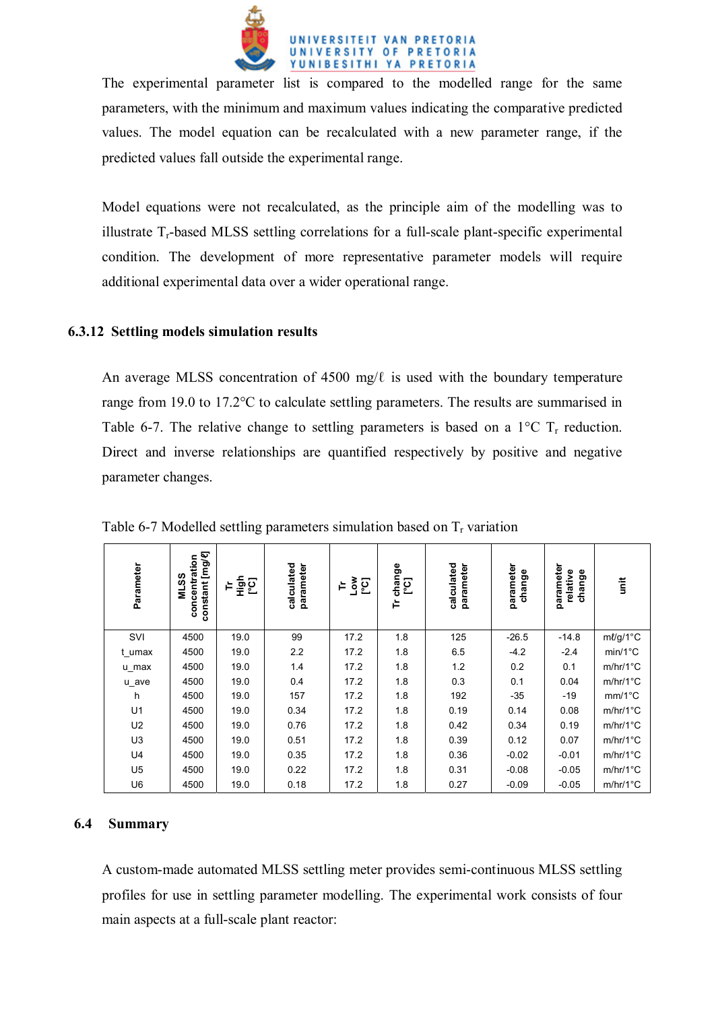

The experimental parameter list is compared to the modelled range for the same parameters, with the minimum and maximum values indicating the comparative predicted values. The model equation can be recalculated with a new parameter range, if the predicted values fall outside the experimental range.

Model equations were not recalculated, as the principle aim of the modelling was to illustrate  $T_r$ -based MLSS settling correlations for a full-scale plant-specific experimental condition. The development of more representative parameter models will require additional experimental data over a wider operational range.

## **6.3.12 Settling models simulation results**

An average MLSS concentration of 4500 mg/ $\ell$  is used with the boundary temperature range from 19.0 to 17.2°C to calculate settling parameters. The results are summarised in Table 6-7. The relative change to settling parameters is based on a  $1^{\circ}$ C T<sub>r</sub> reduction. Direct and inverse relationships are quantified respectively by positive and negative parameter changes.

| Parameter                                                                                | constant [mg/e]<br>concentration<br><b>MLSS</b> | 일를   | calculated<br>parameter | ់ខ្ទួដ | Tr change<br>[°C] | calculated<br>parameter | parameter<br>change | parameter<br>relative<br>change | init             |
|------------------------------------------------------------------------------------------|-------------------------------------------------|------|-------------------------|--------|-------------------|-------------------------|---------------------|---------------------------------|------------------|
| SVI                                                                                      | 4500                                            | 19.0 | 99                      | 17.2   | 1.8               | 125                     | $-26.5$             | $-14.8$                         | ml/g/1°C         |
| t umax                                                                                   | 4500                                            | 19.0 | 2.2                     | 17.2   | 1.8               | 6.5                     | $-4.2$              | $-2.4$                          | $min/1^{\circ}C$ |
| u_max                                                                                    | 4500                                            | 19.0 | 1.4                     | 17.2   | 1.8               | 1.2                     | 0.2                 | 0.1                             | $m/hr/1$ °C      |
| u_ave                                                                                    | 4500                                            | 19.0 | 0.4                     | 17.2   | 1.8               | 0.3                     | 0.1                 | 0.04                            | $m/hr/1$ °C      |
| h                                                                                        | 4500                                            | 19.0 | 157                     | 17.2   | 1.8               | 192                     | $-35$               | $-19$                           | $mm/1^{\circ}C$  |
| U1                                                                                       | 4500                                            | 19.0 | 0.34                    | 17.2   | 1.8               | 0.19                    | 0.14                | 0.08                            | $m/hr/1$ °C      |
| U <sub>2</sub>                                                                           | 4500                                            | 19.0 | 0.76                    | 17.2   | 1.8               | 0.42                    | 0.34                | 0.19                            | $m/hr/1$ °C      |
| U <sub>3</sub>                                                                           | 4500                                            | 19.0 | 0.51                    | 17.2   | 1.8               | 0.39                    | 0.12                | 0.07                            | $m/hr/1$ °C      |
| U4                                                                                       | 4500                                            | 19.0 | 0.35                    | 17.2   | 1.8               | 0.36                    | $-0.02$             | $-0.01$                         | $m/hr/1$ °C      |
| U <sub>5</sub>                                                                           | 4500                                            | 19.0 | 0.22                    | 17.2   | 1.8               | 0.31                    | $-0.08$             | $-0.05$                         | $m/hr/1$ °C      |
| U <sub>6</sub>                                                                           | 4500                                            | 19.0 | 0.18                    | 17.2   | 1.8               | 0.27                    | $-0.09$             | $-0.05$                         | m/hr/1°C         |
| <b>Summary</b>                                                                           |                                                 |      |                         |        |                   |                         |                     |                                 |                  |
| A custom-made automated MLSS settling meter provides semi-continuous MLSS settling       |                                                 |      |                         |        |                   |                         |                     |                                 |                  |
| profiles for use in settling parameter modelling. The experimental work consists of four |                                                 |      |                         |        |                   |                         |                     |                                 |                  |
| main aspects at a full-scale plant reactor:                                              |                                                 |      |                         |        |                   |                         |                     |                                 |                  |

Table 6-7 Modelled settling parameters simulation based on  $T_r$  variation

# **6.4 Summary**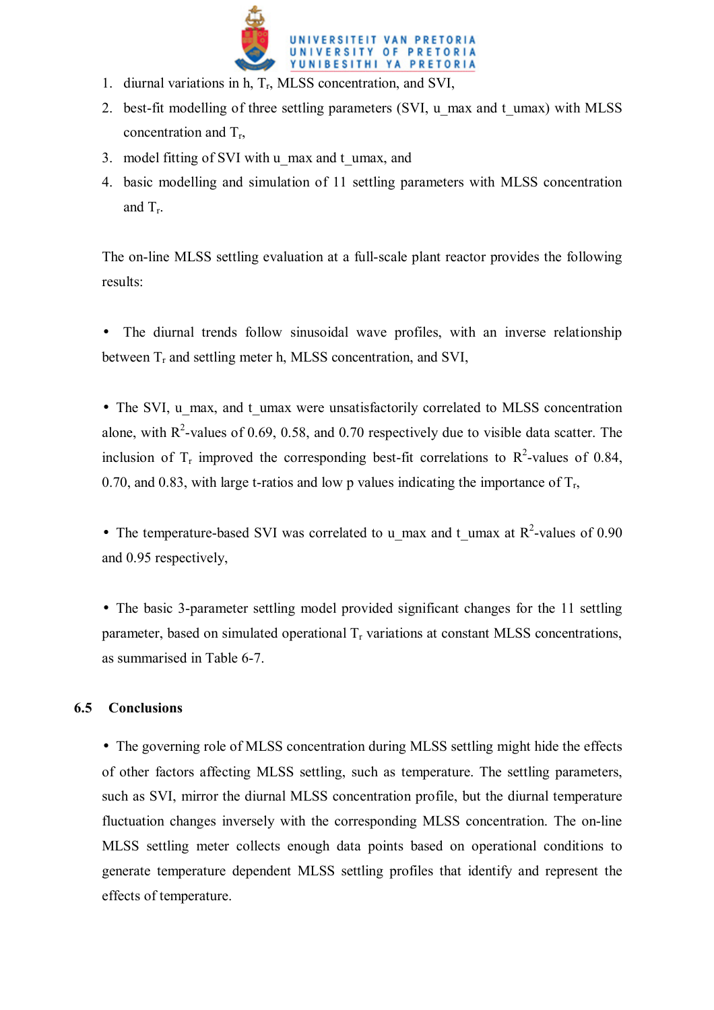

- 1. diurnal variations in h,  $T_r$ , MLSS concentration, and SVI,
- 2. best-fit modelling of three settling parameters (SVI, u\_max and t\_umax) with MLSS concentration and  $T_r$ ,
- 3. model fitting of SVI with u\_max and t\_umax, and
- 4. basic modelling and simulation of 11 settling parameters with MLSS concentration and  $T_r$ .

The on-line MLSS settling evaluation at a full-scale plant reactor provides the following results:

The diurnal trends follow sinusoidal wave profiles, with an inverse relationship between  $T_r$  and settling meter h, MLSS concentration, and SVI,

• The SVI, u\_max, and t\_umax were unsatisfactorily correlated to MLSS concentration alone, with  $R^2$ -values of 0.69, 0.58, and 0.70 respectively due to visible data scatter. The inclusion of  $T_r$  improved the corresponding best-fit correlations to  $R^2$ -values of 0.84, 0.70, and 0.83, with large t-ratios and low p values indicating the importance of  $T_r$ ,

• The temperature-based SVI was correlated to u\_max and t\_umax at  $R^2$ -values of 0.90 and 0.95 respectively,

• The basic 3-parameter settling model provided significant changes for the 11 settling parameter, based on simulated operational  $T_r$  variations at constant MLSS concentrations, as summarised in Table 6-7.

# **6.5 Conclusions**

• The governing role of MLSS concentration during MLSS settling might hide the effects of other factors affecting MLSS settling, such as temperature. The settling parameters, such as SVI, mirror the diurnal MLSS concentration profile, but the diurnal temperature fluctuation changes inversely with the corresponding MLSS concentration. The on-line MLSS settling meter collects enough data points based on operational conditions to generate temperature dependent MLSS settling profiles that identify and represent the effects of temperature.